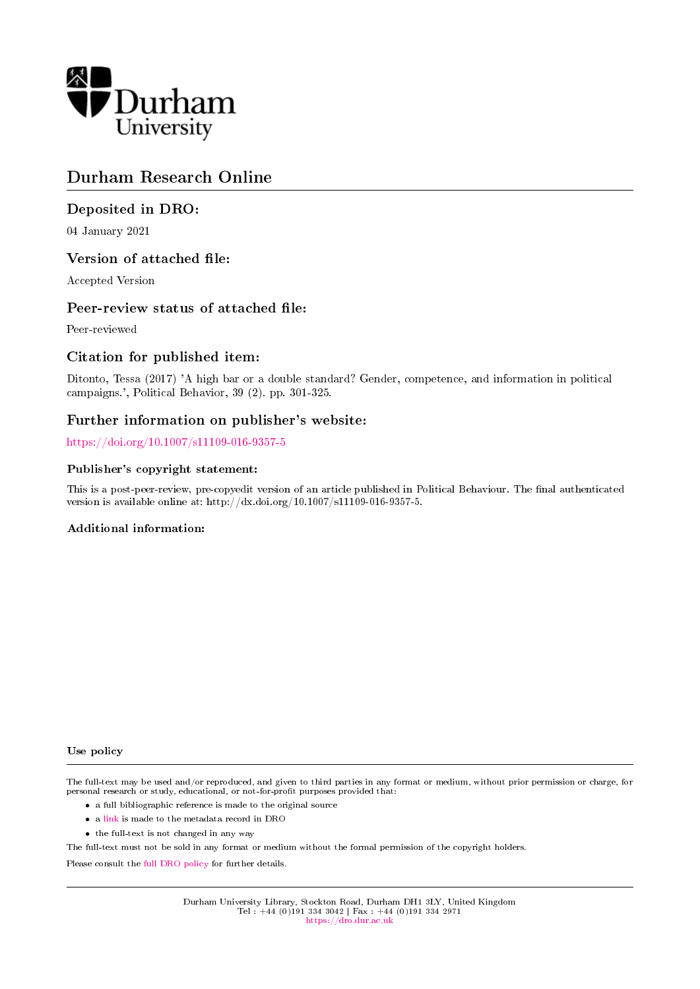

# Durham Research Online

# Deposited in DRO:

04 January 2021

## Version of attached file:

Accepted Version

## Peer-review status of attached file:

Peer-reviewed

# Citation for published item:

Ditonto, Tessa (2017) 'A high bar or a double standard? Gender, competence, and information in political campaigns.', Political Behavior, 39 (2). pp. 301-325.

# Further information on publisher's website:

<https://doi.org/10.1007/s11109-016-9357-5>

### Publisher's copyright statement:

This is a post-peer-review, pre-copyedit version of an article published in Political Behaviour. The final authenticated version is available online at: http://dx.doi.org/10.1007/s11109-016-9357-5.

## Additional information:

#### Use policy

The full-text may be used and/or reproduced, and given to third parties in any format or medium, without prior permission or charge, for personal research or study, educational, or not-for-profit purposes provided that:

- a full bibliographic reference is made to the original source
- a [link](http://dro.dur.ac.uk/32379/) is made to the metadata record in DRO
- the full-text is not changed in any way

The full-text must not be sold in any format or medium without the formal permission of the copyright holders.

Please consult the [full DRO policy](https://dro.dur.ac.uk/policies/usepolicy.pdf) for further details.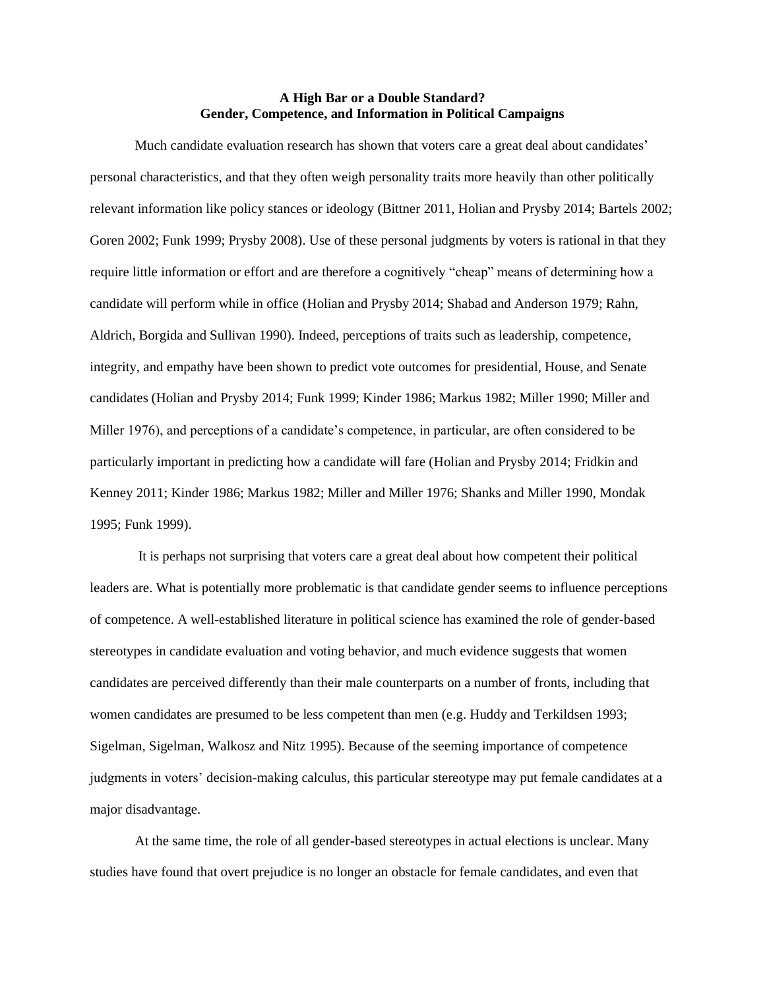#### **A High Bar or a Double Standard? Gender, Competence, and Information in Political Campaigns**

Much candidate evaluation research has shown that voters care a great deal about candidates' personal characteristics, and that they often weigh personality traits more heavily than other politically relevant information like policy stances or ideology (Bittner 2011, Holian and Prysby 2014; Bartels 2002; Goren 2002; Funk 1999; Prysby 2008). Use of these personal judgments by voters is rational in that they require little information or effort and are therefore a cognitively "cheap" means of determining how a candidate will perform while in office (Holian and Prysby 2014; Shabad and Anderson 1979; Rahn, Aldrich, Borgida and Sullivan 1990). Indeed, perceptions of traits such as leadership, competence, integrity, and empathy have been shown to predict vote outcomes for presidential, House, and Senate candidates (Holian and Prysby 2014; Funk 1999; Kinder 1986; Markus 1982; Miller 1990; Miller and Miller 1976), and perceptions of a candidate's competence, in particular, are often considered to be particularly important in predicting how a candidate will fare (Holian and Prysby 2014; Fridkin and Kenney 2011; Kinder 1986; Markus 1982; Miller and Miller 1976; Shanks and Miller 1990, Mondak 1995; Funk 1999).

It is perhaps not surprising that voters care a great deal about how competent their political leaders are. What is potentially more problematic is that candidate gender seems to influence perceptions of competence. A well-established literature in political science has examined the role of gender-based stereotypes in candidate evaluation and voting behavior, and much evidence suggests that women candidates are perceived differently than their male counterparts on a number of fronts, including that women candidates are presumed to be less competent than men (e.g. Huddy and Terkildsen 1993; Sigelman, Sigelman, Walkosz and Nitz 1995). Because of the seeming importance of competence judgments in voters' decision-making calculus, this particular stereotype may put female candidates at a major disadvantage.

At the same time, the role of all gender-based stereotypes in actual elections is unclear. Many studies have found that overt prejudice is no longer an obstacle for female candidates, and even that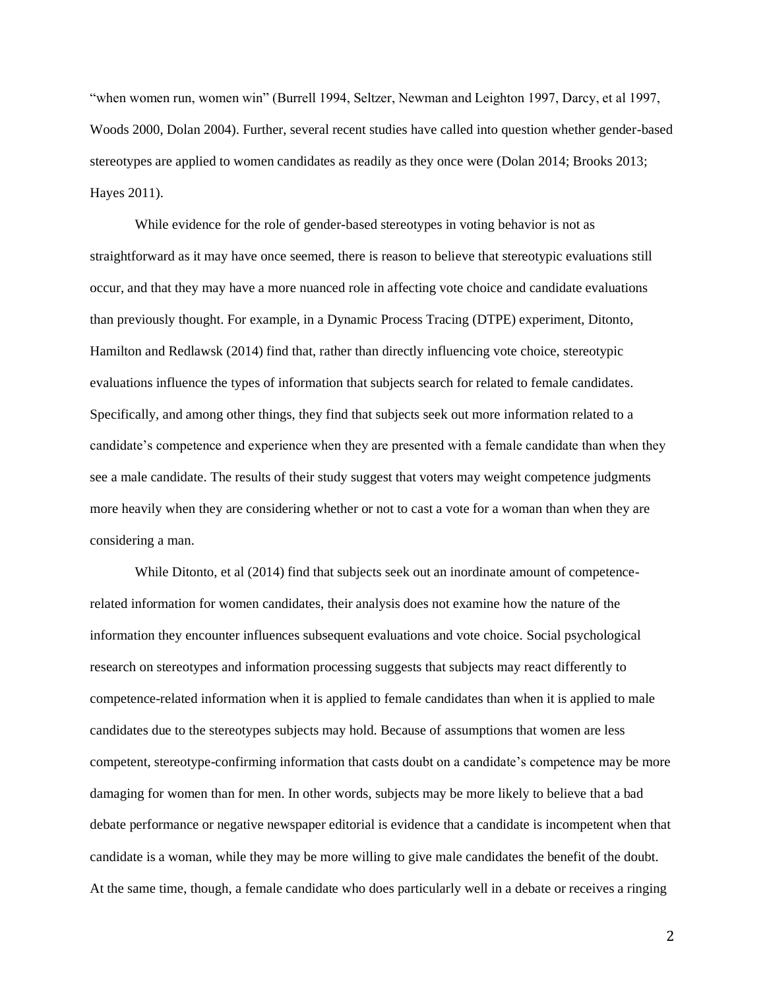"when women run, women win" (Burrell 1994, Seltzer, Newman and Leighton 1997, Darcy, et al 1997, Woods 2000, Dolan 2004). Further, several recent studies have called into question whether gender-based stereotypes are applied to women candidates as readily as they once were (Dolan 2014; Brooks 2013; Hayes 2011).

While evidence for the role of gender-based stereotypes in voting behavior is not as straightforward as it may have once seemed, there is reason to believe that stereotypic evaluations still occur, and that they may have a more nuanced role in affecting vote choice and candidate evaluations than previously thought. For example, in a Dynamic Process Tracing (DTPE) experiment, Ditonto, Hamilton and Redlawsk (2014) find that, rather than directly influencing vote choice, stereotypic evaluations influence the types of information that subjects search for related to female candidates. Specifically, and among other things, they find that subjects seek out more information related to a candidate's competence and experience when they are presented with a female candidate than when they see a male candidate. The results of their study suggest that voters may weight competence judgments more heavily when they are considering whether or not to cast a vote for a woman than when they are considering a man.

While Ditonto, et al (2014) find that subjects seek out an inordinate amount of competencerelated information for women candidates, their analysis does not examine how the nature of the information they encounter influences subsequent evaluations and vote choice. Social psychological research on stereotypes and information processing suggests that subjects may react differently to competence-related information when it is applied to female candidates than when it is applied to male candidates due to the stereotypes subjects may hold. Because of assumptions that women are less competent, stereotype-confirming information that casts doubt on a candidate's competence may be more damaging for women than for men. In other words, subjects may be more likely to believe that a bad debate performance or negative newspaper editorial is evidence that a candidate is incompetent when that candidate is a woman, while they may be more willing to give male candidates the benefit of the doubt. At the same time, though, a female candidate who does particularly well in a debate or receives a ringing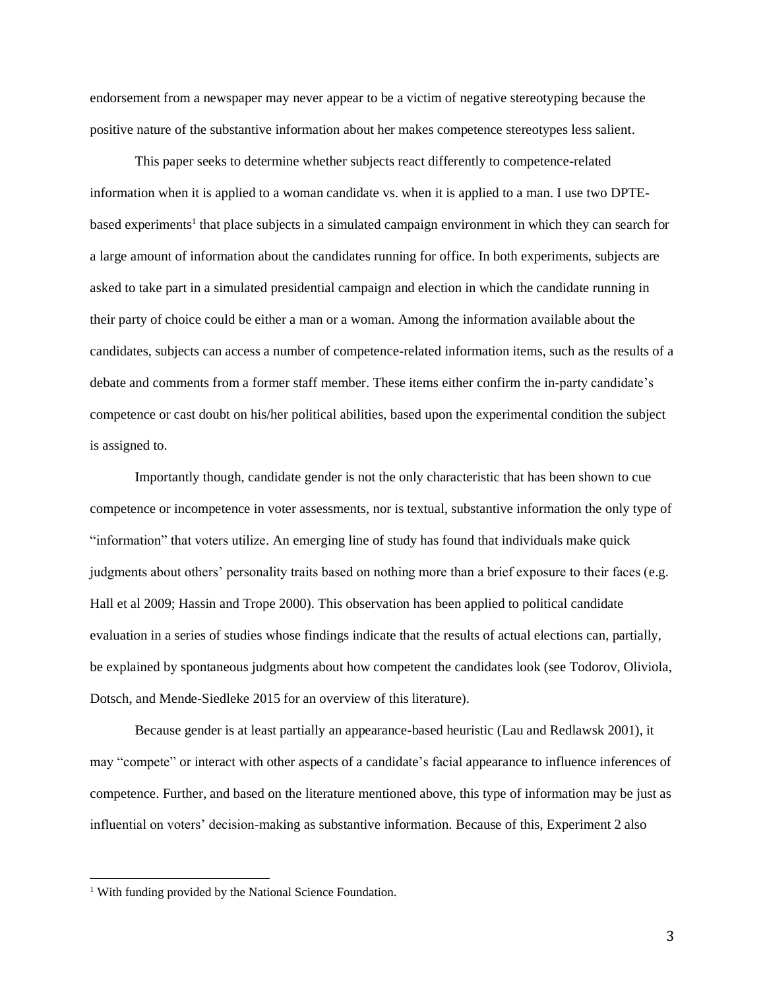endorsement from a newspaper may never appear to be a victim of negative stereotyping because the positive nature of the substantive information about her makes competence stereotypes less salient.

This paper seeks to determine whether subjects react differently to competence-related information when it is applied to a woman candidate vs. when it is applied to a man. I use two DPTEbased experiments<sup>1</sup> that place subjects in a simulated campaign environment in which they can search for a large amount of information about the candidates running for office. In both experiments, subjects are asked to take part in a simulated presidential campaign and election in which the candidate running in their party of choice could be either a man or a woman. Among the information available about the candidates, subjects can access a number of competence-related information items, such as the results of a debate and comments from a former staff member. These items either confirm the in-party candidate's competence or cast doubt on his/her political abilities, based upon the experimental condition the subject is assigned to.

Importantly though, candidate gender is not the only characteristic that has been shown to cue competence or incompetence in voter assessments, nor is textual, substantive information the only type of "information" that voters utilize. An emerging line of study has found that individuals make quick judgments about others' personality traits based on nothing more than a brief exposure to their faces (e.g. Hall et al 2009; Hassin and Trope 2000). This observation has been applied to political candidate evaluation in a series of studies whose findings indicate that the results of actual elections can, partially, be explained by spontaneous judgments about how competent the candidates look (see Todorov, Oliviola, Dotsch, and Mende-Siedleke 2015 for an overview of this literature).

Because gender is at least partially an appearance-based heuristic (Lau and Redlawsk 2001), it may "compete" or interact with other aspects of a candidate's facial appearance to influence inferences of competence. Further, and based on the literature mentioned above, this type of information may be just as influential on voters' decision-making as substantive information. Because of this, Experiment 2 also

<sup>&</sup>lt;sup>1</sup> With funding provided by the National Science Foundation.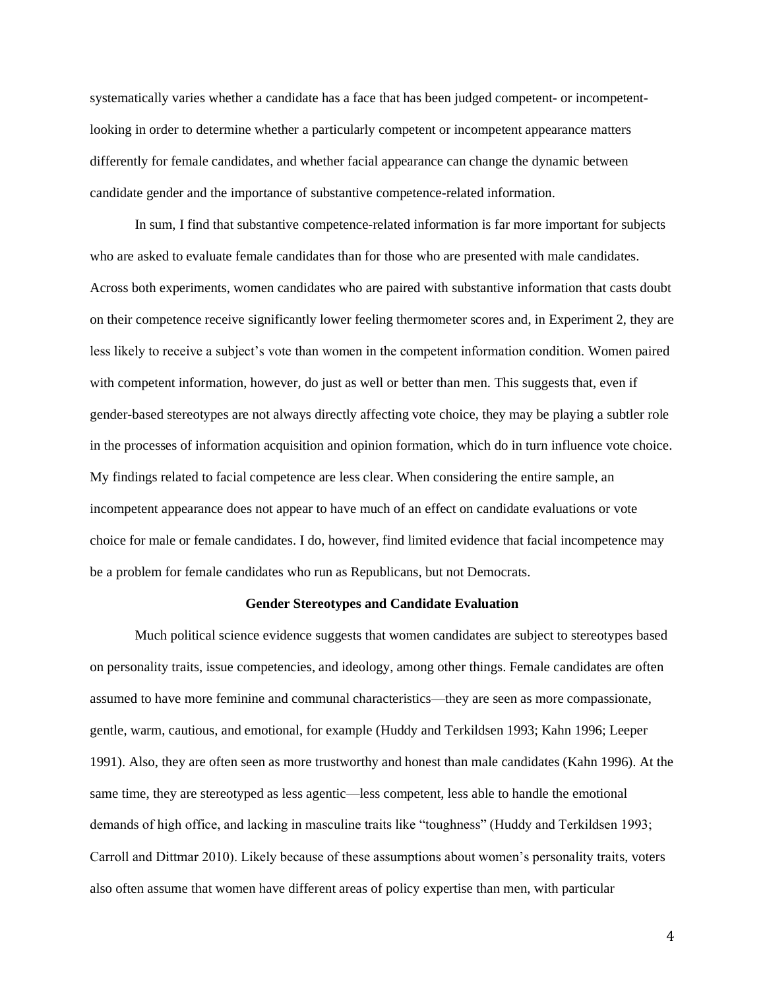systematically varies whether a candidate has a face that has been judged competent- or incompetentlooking in order to determine whether a particularly competent or incompetent appearance matters differently for female candidates, and whether facial appearance can change the dynamic between candidate gender and the importance of substantive competence-related information.

In sum, I find that substantive competence-related information is far more important for subjects who are asked to evaluate female candidates than for those who are presented with male candidates. Across both experiments, women candidates who are paired with substantive information that casts doubt on their competence receive significantly lower feeling thermometer scores and, in Experiment 2, they are less likely to receive a subject's vote than women in the competent information condition. Women paired with competent information, however, do just as well or better than men. This suggests that, even if gender-based stereotypes are not always directly affecting vote choice, they may be playing a subtler role in the processes of information acquisition and opinion formation, which do in turn influence vote choice. My findings related to facial competence are less clear. When considering the entire sample, an incompetent appearance does not appear to have much of an effect on candidate evaluations or vote choice for male or female candidates. I do, however, find limited evidence that facial incompetence may be a problem for female candidates who run as Republicans, but not Democrats.

### **Gender Stereotypes and Candidate Evaluation**

Much political science evidence suggests that women candidates are subject to stereotypes based on personality traits, issue competencies, and ideology, among other things. Female candidates are often assumed to have more feminine and communal characteristics—they are seen as more compassionate, gentle, warm, cautious, and emotional, for example (Huddy and Terkildsen 1993; Kahn 1996; Leeper 1991). Also, they are often seen as more trustworthy and honest than male candidates (Kahn 1996). At the same time, they are stereotyped as less agentic—less competent, less able to handle the emotional demands of high office, and lacking in masculine traits like "toughness" (Huddy and Terkildsen 1993; Carroll and Dittmar 2010). Likely because of these assumptions about women's personality traits, voters also often assume that women have different areas of policy expertise than men, with particular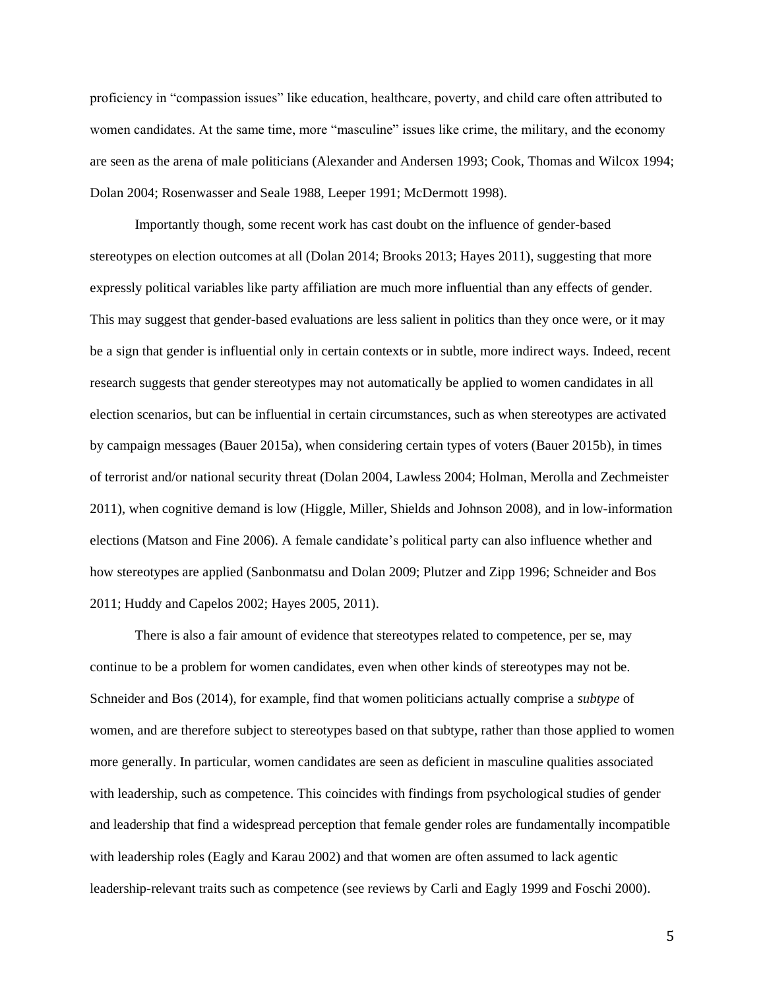proficiency in "compassion issues" like education, healthcare, poverty, and child care often attributed to women candidates. At the same time, more "masculine" issues like crime, the military, and the economy are seen as the arena of male politicians (Alexander and Andersen 1993; Cook, Thomas and Wilcox 1994; Dolan 2004; Rosenwasser and Seale 1988, Leeper 1991; McDermott 1998).

Importantly though, some recent work has cast doubt on the influence of gender-based stereotypes on election outcomes at all (Dolan 2014; Brooks 2013; Hayes 2011), suggesting that more expressly political variables like party affiliation are much more influential than any effects of gender. This may suggest that gender-based evaluations are less salient in politics than they once were, or it may be a sign that gender is influential only in certain contexts or in subtle, more indirect ways. Indeed, recent research suggests that gender stereotypes may not automatically be applied to women candidates in all election scenarios, but can be influential in certain circumstances, such as when stereotypes are activated by campaign messages (Bauer 2015a), when considering certain types of voters (Bauer 2015b), in times of terrorist and/or national security threat (Dolan 2004, Lawless 2004; Holman, Merolla and Zechmeister 2011), when cognitive demand is low (Higgle, Miller, Shields and Johnson 2008), and in low-information elections (Matson and Fine 2006). A female candidate's political party can also influence whether and how stereotypes are applied (Sanbonmatsu and Dolan 2009; Plutzer and Zipp 1996; Schneider and Bos 2011; Huddy and Capelos 2002; Hayes 2005, 2011).

There is also a fair amount of evidence that stereotypes related to competence, per se, may continue to be a problem for women candidates, even when other kinds of stereotypes may not be. Schneider and Bos (2014), for example, find that women politicians actually comprise a *subtype* of women, and are therefore subject to stereotypes based on that subtype, rather than those applied to women more generally. In particular, women candidates are seen as deficient in masculine qualities associated with leadership, such as competence. This coincides with findings from psychological studies of gender and leadership that find a widespread perception that female gender roles are fundamentally incompatible with leadership roles (Eagly and Karau 2002) and that women are often assumed to lack agentic leadership-relevant traits such as competence (see reviews by Carli and Eagly 1999 and Foschi 2000).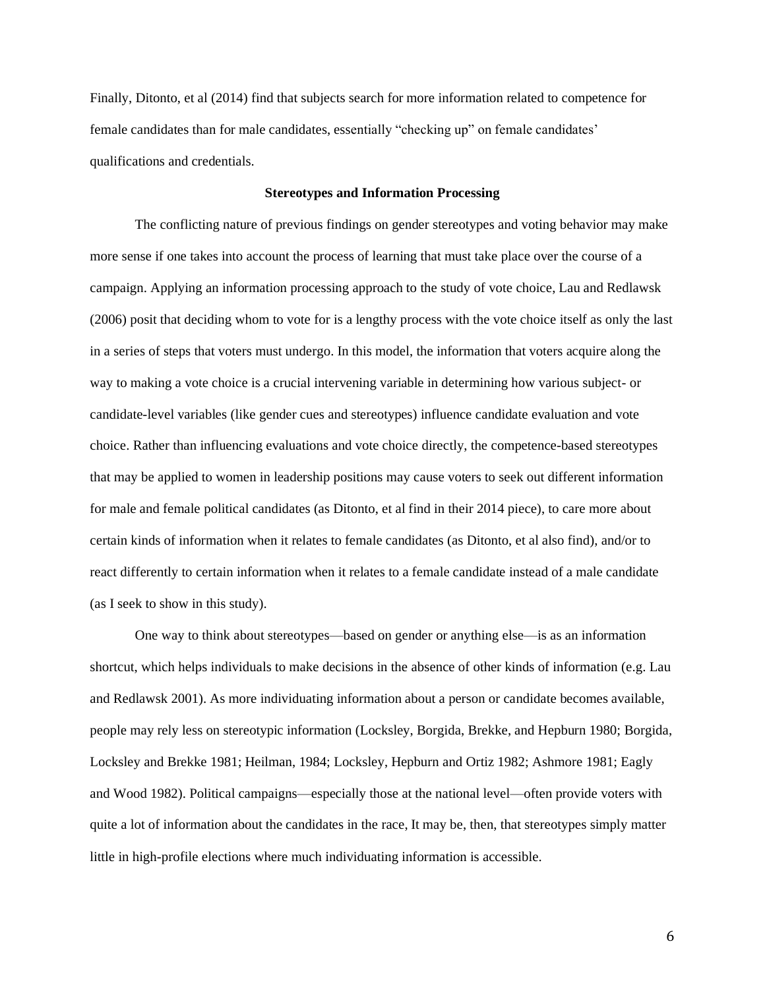Finally, Ditonto, et al (2014) find that subjects search for more information related to competence for female candidates than for male candidates, essentially "checking up" on female candidates' qualifications and credentials.

### **Stereotypes and Information Processing**

The conflicting nature of previous findings on gender stereotypes and voting behavior may make more sense if one takes into account the process of learning that must take place over the course of a campaign. Applying an information processing approach to the study of vote choice, Lau and Redlawsk (2006) posit that deciding whom to vote for is a lengthy process with the vote choice itself as only the last in a series of steps that voters must undergo. In this model, the information that voters acquire along the way to making a vote choice is a crucial intervening variable in determining how various subject- or candidate-level variables (like gender cues and stereotypes) influence candidate evaluation and vote choice. Rather than influencing evaluations and vote choice directly, the competence-based stereotypes that may be applied to women in leadership positions may cause voters to seek out different information for male and female political candidates (as Ditonto, et al find in their 2014 piece), to care more about certain kinds of information when it relates to female candidates (as Ditonto, et al also find), and/or to react differently to certain information when it relates to a female candidate instead of a male candidate (as I seek to show in this study).

One way to think about stereotypes—based on gender or anything else—is as an information shortcut, which helps individuals to make decisions in the absence of other kinds of information (e.g. Lau and Redlawsk 2001). As more individuating information about a person or candidate becomes available, people may rely less on stereotypic information (Locksley, Borgida, Brekke, and Hepburn 1980; Borgida, Locksley and Brekke 1981; Heilman, 1984; Locksley, Hepburn and Ortiz 1982; Ashmore 1981; Eagly and Wood 1982). Political campaigns—especially those at the national level—often provide voters with quite a lot of information about the candidates in the race, It may be, then, that stereotypes simply matter little in high-profile elections where much individuating information is accessible.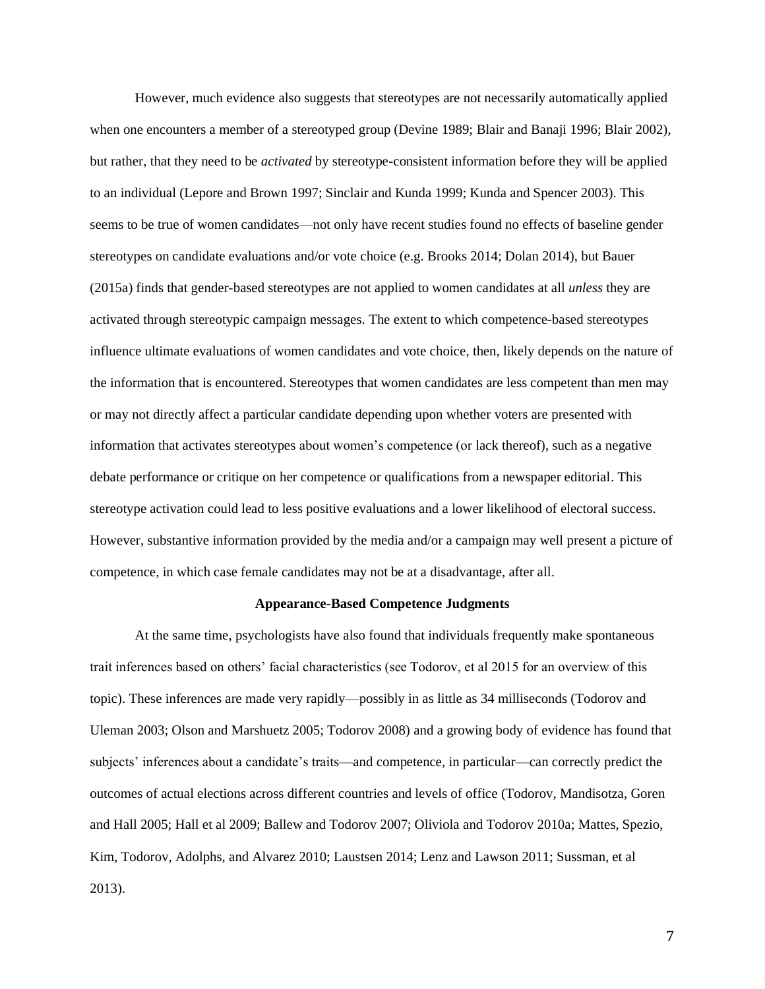However, much evidence also suggests that stereotypes are not necessarily automatically applied when one encounters a member of a stereotyped group (Devine 1989; Blair and Banaji 1996; Blair 2002), but rather, that they need to be *activated* by stereotype-consistent information before they will be applied to an individual (Lepore and Brown 1997; Sinclair and Kunda 1999; Kunda and Spencer 2003). This seems to be true of women candidates—not only have recent studies found no effects of baseline gender stereotypes on candidate evaluations and/or vote choice (e.g. Brooks 2014; Dolan 2014), but Bauer (2015a) finds that gender-based stereotypes are not applied to women candidates at all *unless* they are activated through stereotypic campaign messages. The extent to which competence-based stereotypes influence ultimate evaluations of women candidates and vote choice, then, likely depends on the nature of the information that is encountered. Stereotypes that women candidates are less competent than men may or may not directly affect a particular candidate depending upon whether voters are presented with information that activates stereotypes about women's competence (or lack thereof), such as a negative debate performance or critique on her competence or qualifications from a newspaper editorial. This stereotype activation could lead to less positive evaluations and a lower likelihood of electoral success. However, substantive information provided by the media and/or a campaign may well present a picture of competence, in which case female candidates may not be at a disadvantage, after all.

### **Appearance-Based Competence Judgments**

At the same time, psychologists have also found that individuals frequently make spontaneous trait inferences based on others' facial characteristics (see Todorov, et al 2015 for an overview of this topic). These inferences are made very rapidly—possibly in as little as 34 milliseconds (Todorov and Uleman 2003; Olson and Marshuetz 2005; Todorov 2008) and a growing body of evidence has found that subjects' inferences about a candidate's traits—and competence, in particular—can correctly predict the outcomes of actual elections across different countries and levels of office (Todorov, Mandisotza, Goren and Hall 2005; Hall et al 2009; Ballew and Todorov 2007; Oliviola and Todorov 2010a; Mattes, Spezio, Kim, Todorov, Adolphs, and Alvarez 2010; Laustsen 2014; Lenz and Lawson 2011; Sussman, et al 2013).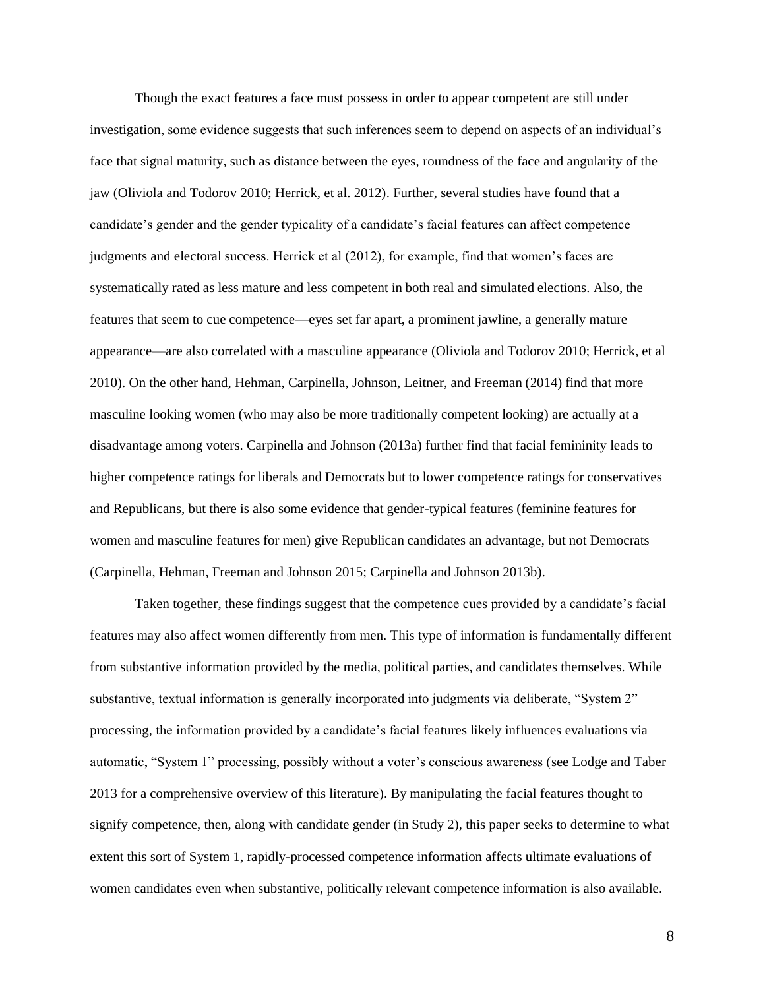Though the exact features a face must possess in order to appear competent are still under investigation, some evidence suggests that such inferences seem to depend on aspects of an individual's face that signal maturity, such as distance between the eyes, roundness of the face and angularity of the jaw (Oliviola and Todorov 2010; Herrick, et al. 2012). Further, several studies have found that a candidate's gender and the gender typicality of a candidate's facial features can affect competence judgments and electoral success. Herrick et al (2012), for example, find that women's faces are systematically rated as less mature and less competent in both real and simulated elections. Also, the features that seem to cue competence—eyes set far apart, a prominent jawline, a generally mature appearance—are also correlated with a masculine appearance (Oliviola and Todorov 2010; Herrick, et al 2010). On the other hand, Hehman, Carpinella, Johnson, Leitner, and Freeman (2014) find that more masculine looking women (who may also be more traditionally competent looking) are actually at a disadvantage among voters. Carpinella and Johnson (2013a) further find that facial femininity leads to higher competence ratings for liberals and Democrats but to lower competence ratings for conservatives and Republicans, but there is also some evidence that gender-typical features (feminine features for women and masculine features for men) give Republican candidates an advantage, but not Democrats (Carpinella, Hehman, Freeman and Johnson 2015; Carpinella and Johnson 2013b).

Taken together, these findings suggest that the competence cues provided by a candidate's facial features may also affect women differently from men. This type of information is fundamentally different from substantive information provided by the media, political parties, and candidates themselves. While substantive, textual information is generally incorporated into judgments via deliberate, "System 2" processing, the information provided by a candidate's facial features likely influences evaluations via automatic, "System 1" processing, possibly without a voter's conscious awareness (see Lodge and Taber 2013 for a comprehensive overview of this literature). By manipulating the facial features thought to signify competence, then, along with candidate gender (in Study 2), this paper seeks to determine to what extent this sort of System 1, rapidly-processed competence information affects ultimate evaluations of women candidates even when substantive, politically relevant competence information is also available.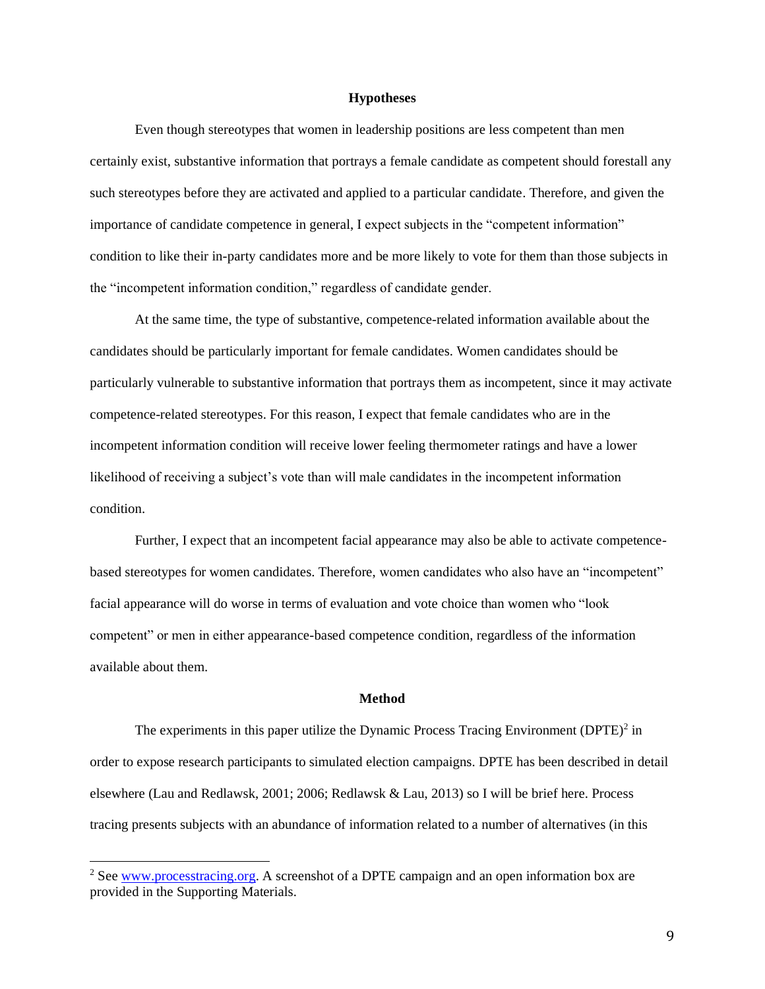#### **Hypotheses**

Even though stereotypes that women in leadership positions are less competent than men certainly exist, substantive information that portrays a female candidate as competent should forestall any such stereotypes before they are activated and applied to a particular candidate. Therefore, and given the importance of candidate competence in general, I expect subjects in the "competent information" condition to like their in-party candidates more and be more likely to vote for them than those subjects in the "incompetent information condition," regardless of candidate gender.

At the same time, the type of substantive, competence-related information available about the candidates should be particularly important for female candidates. Women candidates should be particularly vulnerable to substantive information that portrays them as incompetent, since it may activate competence-related stereotypes. For this reason, I expect that female candidates who are in the incompetent information condition will receive lower feeling thermometer ratings and have a lower likelihood of receiving a subject's vote than will male candidates in the incompetent information condition.

Further, I expect that an incompetent facial appearance may also be able to activate competencebased stereotypes for women candidates. Therefore, women candidates who also have an "incompetent" facial appearance will do worse in terms of evaluation and vote choice than women who "look competent" or men in either appearance-based competence condition, regardless of the information available about them.

#### **Method**

The experiments in this paper utilize the Dynamic Process Tracing Environment  $(DPTE)^2$  in order to expose research participants to simulated election campaigns. DPTE has been described in detail elsewhere (Lau and Redlawsk, 2001; 2006; Redlawsk & Lau, 2013) so I will be brief here. Process tracing presents subjects with an abundance of information related to a number of alternatives (in this

<sup>&</sup>lt;sup>2</sup> See [www.processtracing.org.](http://www.processtracing.org/) A screenshot of a DPTE campaign and an open information box are provided in the Supporting Materials.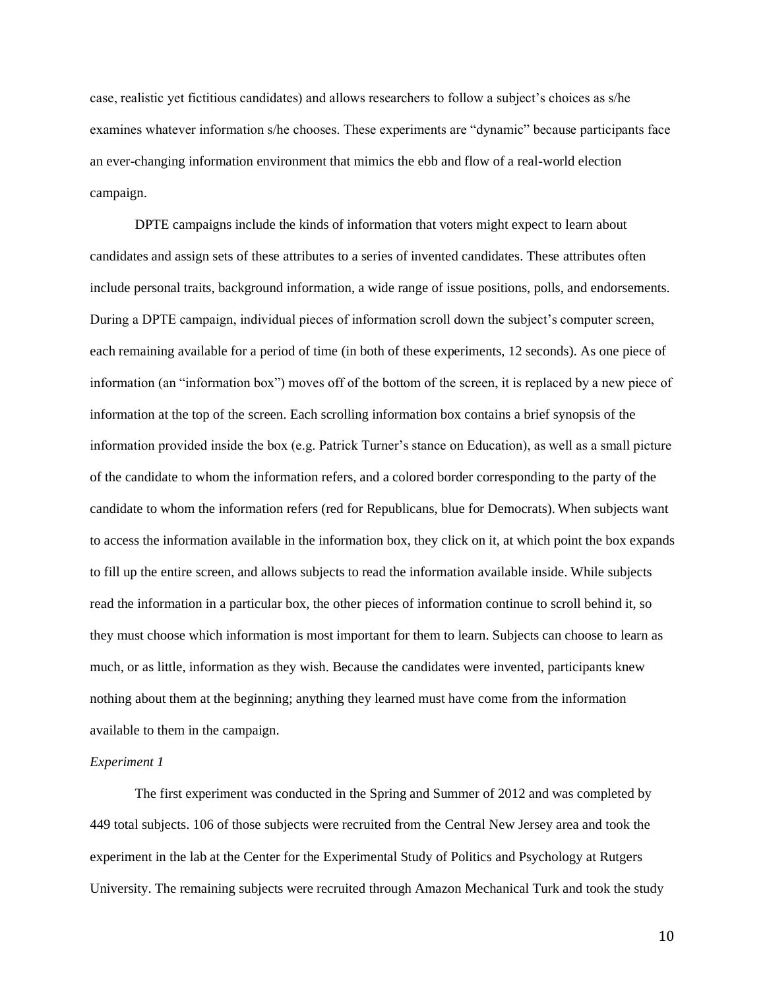case, realistic yet fictitious candidates) and allows researchers to follow a subject's choices as s/he examines whatever information s/he chooses. These experiments are "dynamic" because participants face an ever-changing information environment that mimics the ebb and flow of a real-world election campaign.

DPTE campaigns include the kinds of information that voters might expect to learn about candidates and assign sets of these attributes to a series of invented candidates. These attributes often include personal traits, background information, a wide range of issue positions, polls, and endorsements. During a DPTE campaign, individual pieces of information scroll down the subject's computer screen, each remaining available for a period of time (in both of these experiments, 12 seconds). As one piece of information (an "information box") moves off of the bottom of the screen, it is replaced by a new piece of information at the top of the screen. Each scrolling information box contains a brief synopsis of the information provided inside the box (e.g. Patrick Turner's stance on Education), as well as a small picture of the candidate to whom the information refers, and a colored border corresponding to the party of the candidate to whom the information refers (red for Republicans, blue for Democrats). When subjects want to access the information available in the information box, they click on it, at which point the box expands to fill up the entire screen, and allows subjects to read the information available inside. While subjects read the information in a particular box, the other pieces of information continue to scroll behind it, so they must choose which information is most important for them to learn. Subjects can choose to learn as much, or as little, information as they wish. Because the candidates were invented, participants knew nothing about them at the beginning; anything they learned must have come from the information available to them in the campaign.

#### *Experiment 1*

The first experiment was conducted in the Spring and Summer of 2012 and was completed by 449 total subjects. 106 of those subjects were recruited from the Central New Jersey area and took the experiment in the lab at the Center for the Experimental Study of Politics and Psychology at Rutgers University. The remaining subjects were recruited through Amazon Mechanical Turk and took the study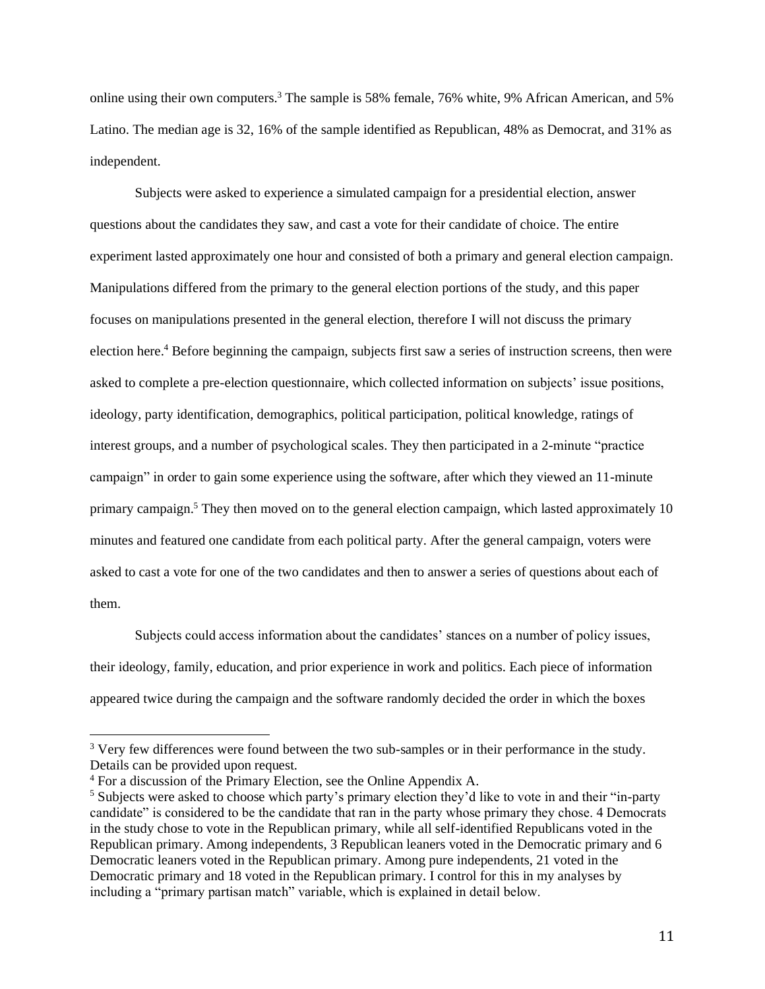online using their own computers.<sup>3</sup> The sample is 58% female, 76% white, 9% African American, and 5% Latino. The median age is 32, 16% of the sample identified as Republican, 48% as Democrat, and 31% as independent.

Subjects were asked to experience a simulated campaign for a presidential election, answer questions about the candidates they saw, and cast a vote for their candidate of choice. The entire experiment lasted approximately one hour and consisted of both a primary and general election campaign. Manipulations differed from the primary to the general election portions of the study, and this paper focuses on manipulations presented in the general election, therefore I will not discuss the primary election here.<sup>4</sup> Before beginning the campaign, subjects first saw a series of instruction screens, then were asked to complete a pre-election questionnaire, which collected information on subjects' issue positions, ideology, party identification, demographics, political participation, political knowledge, ratings of interest groups, and a number of psychological scales. They then participated in a 2-minute "practice campaign" in order to gain some experience using the software, after which they viewed an 11-minute primary campaign.<sup>5</sup> They then moved on to the general election campaign, which lasted approximately 10 minutes and featured one candidate from each political party. After the general campaign, voters were asked to cast a vote for one of the two candidates and then to answer a series of questions about each of them.

Subjects could access information about the candidates' stances on a number of policy issues, their ideology, family, education, and prior experience in work and politics. Each piece of information appeared twice during the campaign and the software randomly decided the order in which the boxes

<sup>&</sup>lt;sup>3</sup> Very few differences were found between the two sub-samples or in their performance in the study. Details can be provided upon request.

<sup>4</sup> For a discussion of the Primary Election, see the Online Appendix A.

<sup>5</sup> Subjects were asked to choose which party's primary election they'd like to vote in and their "in-party candidate" is considered to be the candidate that ran in the party whose primary they chose. 4 Democrats in the study chose to vote in the Republican primary, while all self-identified Republicans voted in the Republican primary. Among independents, 3 Republican leaners voted in the Democratic primary and 6 Democratic leaners voted in the Republican primary. Among pure independents, 21 voted in the Democratic primary and 18 voted in the Republican primary. I control for this in my analyses by including a "primary partisan match" variable, which is explained in detail below.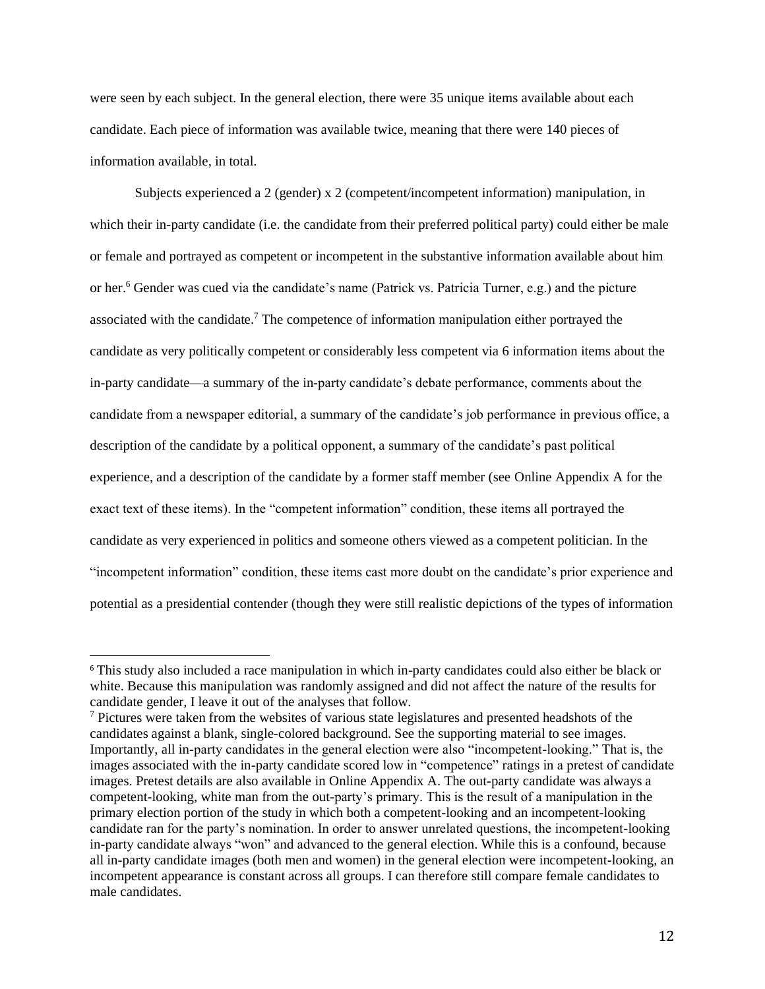were seen by each subject. In the general election, there were 35 unique items available about each candidate. Each piece of information was available twice, meaning that there were 140 pieces of information available, in total.

Subjects experienced a 2 (gender) x 2 (competent/incompetent information) manipulation, in which their in-party candidate (i.e. the candidate from their preferred political party) could either be male or female and portrayed as competent or incompetent in the substantive information available about him or her.<sup>6</sup> Gender was cued via the candidate's name (Patrick vs. Patricia Turner, e.g.) and the picture associated with the candidate.<sup>7</sup> The competence of information manipulation either portrayed the candidate as very politically competent or considerably less competent via 6 information items about the in-party candidate—a summary of the in-party candidate's debate performance, comments about the candidate from a newspaper editorial, a summary of the candidate's job performance in previous office, a description of the candidate by a political opponent, a summary of the candidate's past political experience, and a description of the candidate by a former staff member (see Online Appendix A for the exact text of these items). In the "competent information" condition, these items all portrayed the candidate as very experienced in politics and someone others viewed as a competent politician. In the "incompetent information" condition, these items cast more doubt on the candidate's prior experience and potential as a presidential contender (though they were still realistic depictions of the types of information

<sup>6</sup> This study also included a race manipulation in which in-party candidates could also either be black or white. Because this manipulation was randomly assigned and did not affect the nature of the results for candidate gender, I leave it out of the analyses that follow.

<sup>7</sup> Pictures were taken from the websites of various state legislatures and presented headshots of the candidates against a blank, single-colored background. See the supporting material to see images. Importantly, all in-party candidates in the general election were also "incompetent-looking." That is, the images associated with the in-party candidate scored low in "competence" ratings in a pretest of candidate images. Pretest details are also available in Online Appendix A. The out-party candidate was always a competent-looking, white man from the out-party's primary. This is the result of a manipulation in the primary election portion of the study in which both a competent-looking and an incompetent-looking candidate ran for the party's nomination. In order to answer unrelated questions, the incompetent-looking in-party candidate always "won" and advanced to the general election. While this is a confound, because all in-party candidate images (both men and women) in the general election were incompetent-looking, an incompetent appearance is constant across all groups. I can therefore still compare female candidates to male candidates.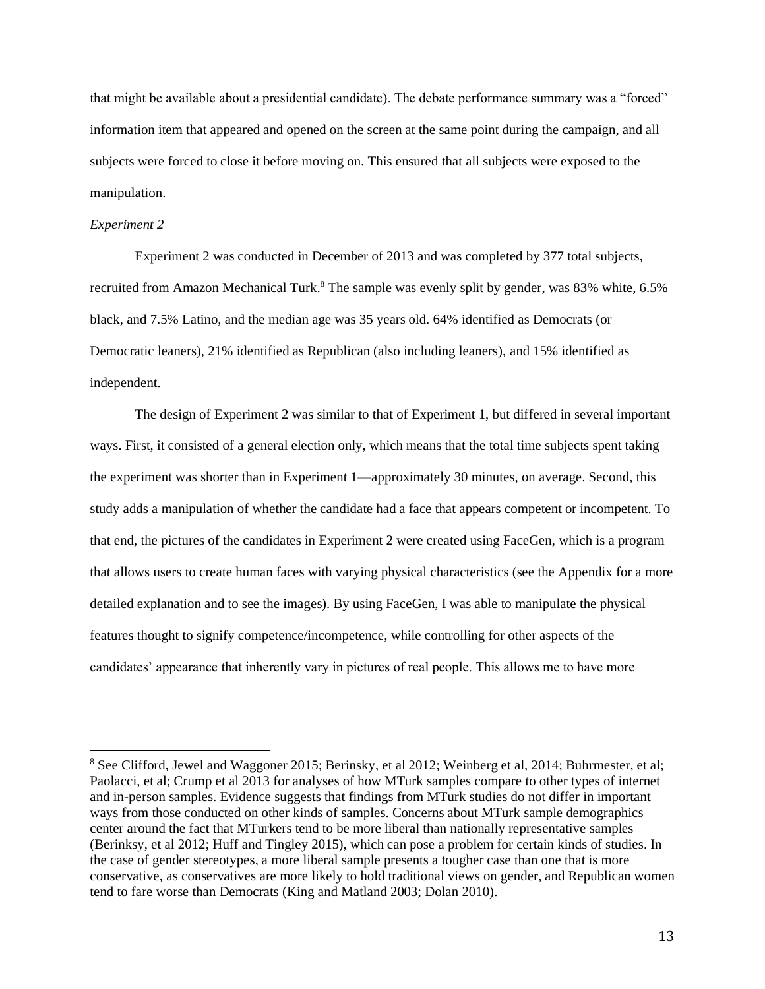that might be available about a presidential candidate). The debate performance summary was a "forced" information item that appeared and opened on the screen at the same point during the campaign, and all subjects were forced to close it before moving on. This ensured that all subjects were exposed to the manipulation.

#### *Experiment 2*

Experiment 2 was conducted in December of 2013 and was completed by 377 total subjects, recruited from Amazon Mechanical Turk.<sup>8</sup> The sample was evenly split by gender, was 83% white, 6.5% black, and 7.5% Latino, and the median age was 35 years old. 64% identified as Democrats (or Democratic leaners), 21% identified as Republican (also including leaners), and 15% identified as independent.

The design of Experiment 2 was similar to that of Experiment 1, but differed in several important ways. First, it consisted of a general election only, which means that the total time subjects spent taking the experiment was shorter than in Experiment 1—approximately 30 minutes, on average. Second, this study adds a manipulation of whether the candidate had a face that appears competent or incompetent. To that end, the pictures of the candidates in Experiment 2 were created using FaceGen, which is a program that allows users to create human faces with varying physical characteristics (see the Appendix for a more detailed explanation and to see the images). By using FaceGen, I was able to manipulate the physical features thought to signify competence/incompetence, while controlling for other aspects of the candidates' appearance that inherently vary in pictures of real people. This allows me to have more

<sup>8</sup> See Clifford, Jewel and Waggoner 2015; Berinsky, et al 2012; Weinberg et al, 2014; Buhrmester, et al; Paolacci, et al; Crump et al 2013 for analyses of how MTurk samples compare to other types of internet and in-person samples. Evidence suggests that findings from MTurk studies do not differ in important ways from those conducted on other kinds of samples. Concerns about MTurk sample demographics center around the fact that MTurkers tend to be more liberal than nationally representative samples (Berinksy, et al 2012; Huff and Tingley 2015), which can pose a problem for certain kinds of studies. In the case of gender stereotypes, a more liberal sample presents a tougher case than one that is more conservative, as conservatives are more likely to hold traditional views on gender, and Republican women tend to fare worse than Democrats (King and Matland 2003; Dolan 2010).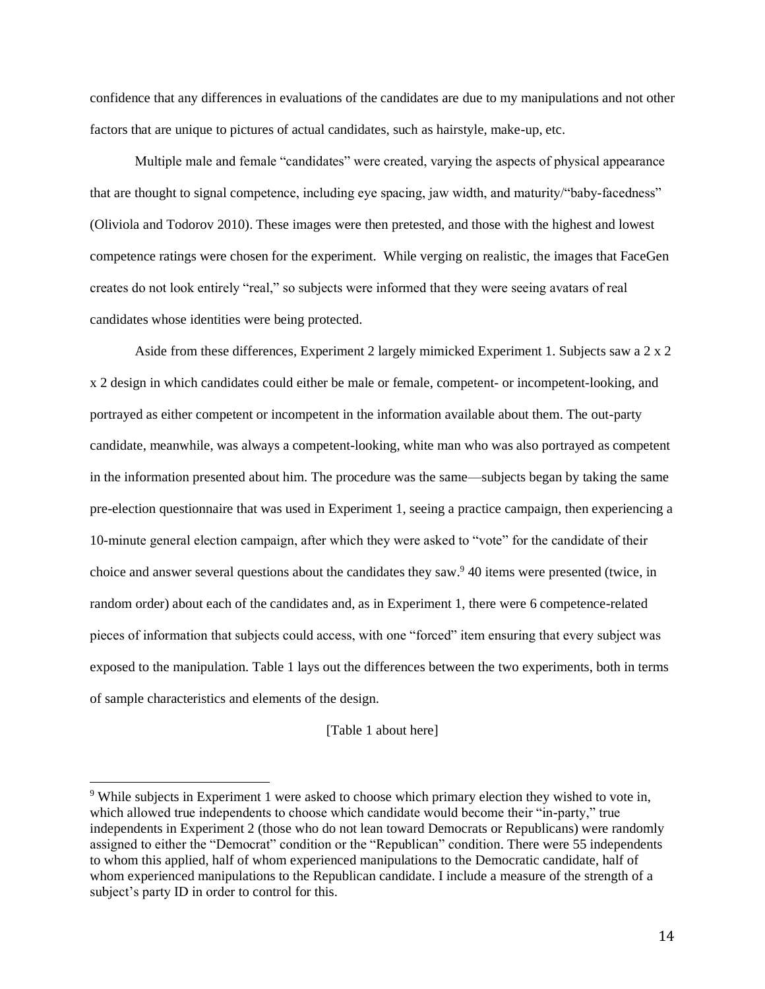confidence that any differences in evaluations of the candidates are due to my manipulations and not other factors that are unique to pictures of actual candidates, such as hairstyle, make-up, etc.

Multiple male and female "candidates" were created, varying the aspects of physical appearance that are thought to signal competence, including eye spacing, jaw width, and maturity/"baby-facedness" (Oliviola and Todorov 2010). These images were then pretested, and those with the highest and lowest competence ratings were chosen for the experiment. While verging on realistic, the images that FaceGen creates do not look entirely "real," so subjects were informed that they were seeing avatars of real candidates whose identities were being protected.

Aside from these differences, Experiment 2 largely mimicked Experiment 1. Subjects saw a 2 x 2 x 2 design in which candidates could either be male or female, competent- or incompetent-looking, and portrayed as either competent or incompetent in the information available about them. The out-party candidate, meanwhile, was always a competent-looking, white man who was also portrayed as competent in the information presented about him. The procedure was the same—subjects began by taking the same pre-election questionnaire that was used in Experiment 1, seeing a practice campaign, then experiencing a 10-minute general election campaign, after which they were asked to "vote" for the candidate of their choice and answer several questions about the candidates they saw.<sup>9</sup> 40 items were presented (twice, in random order) about each of the candidates and, as in Experiment 1, there were 6 competence-related pieces of information that subjects could access, with one "forced" item ensuring that every subject was exposed to the manipulation. Table 1 lays out the differences between the two experiments, both in terms of sample characteristics and elements of the design.

[Table 1 about here]

<sup>&</sup>lt;sup>9</sup> While subjects in Experiment 1 were asked to choose which primary election they wished to vote in, which allowed true independents to choose which candidate would become their "in-party," true independents in Experiment 2 (those who do not lean toward Democrats or Republicans) were randomly assigned to either the "Democrat" condition or the "Republican" condition. There were 55 independents to whom this applied, half of whom experienced manipulations to the Democratic candidate, half of whom experienced manipulations to the Republican candidate. I include a measure of the strength of a subject's party ID in order to control for this.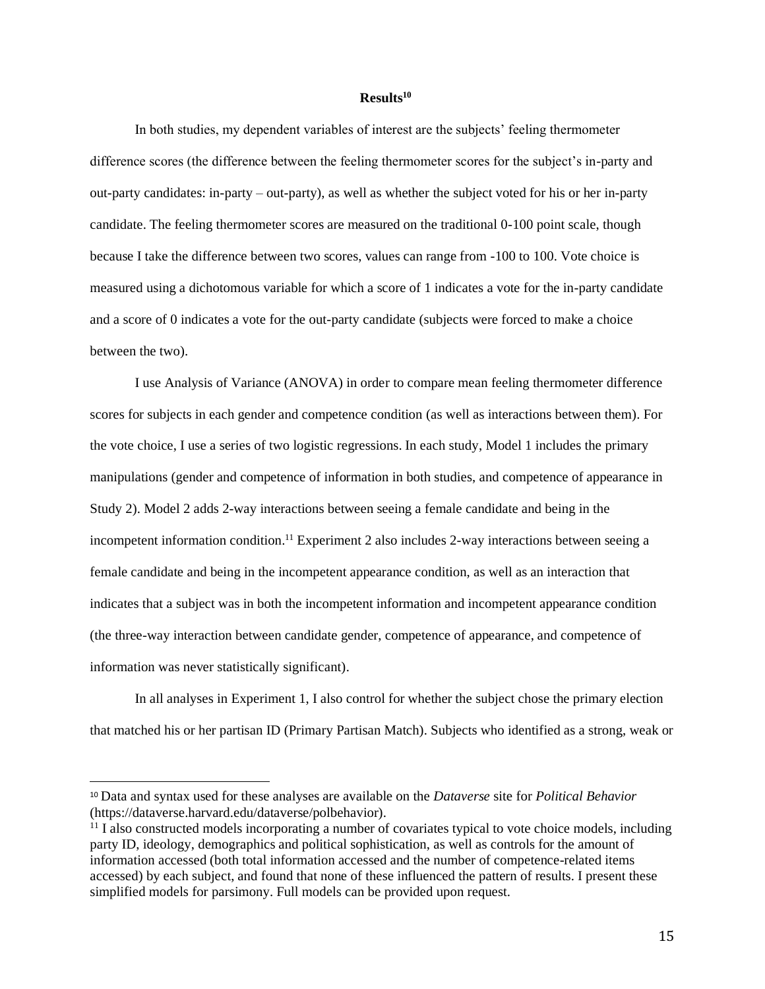## **Results<sup>10</sup>**

In both studies, my dependent variables of interest are the subjects' feeling thermometer difference scores (the difference between the feeling thermometer scores for the subject's in-party and out-party candidates: in-party – out-party), as well as whether the subject voted for his or her in-party candidate. The feeling thermometer scores are measured on the traditional 0-100 point scale, though because I take the difference between two scores, values can range from -100 to 100. Vote choice is measured using a dichotomous variable for which a score of 1 indicates a vote for the in-party candidate and a score of 0 indicates a vote for the out-party candidate (subjects were forced to make a choice between the two).

I use Analysis of Variance (ANOVA) in order to compare mean feeling thermometer difference scores for subjects in each gender and competence condition (as well as interactions between them). For the vote choice, I use a series of two logistic regressions. In each study, Model 1 includes the primary manipulations (gender and competence of information in both studies, and competence of appearance in Study 2). Model 2 adds 2-way interactions between seeing a female candidate and being in the incompetent information condition. <sup>11</sup> Experiment 2 also includes 2-way interactions between seeing a female candidate and being in the incompetent appearance condition, as well as an interaction that indicates that a subject was in both the incompetent information and incompetent appearance condition (the three-way interaction between candidate gender, competence of appearance, and competence of information was never statistically significant).

In all analyses in Experiment 1, I also control for whether the subject chose the primary election that matched his or her partisan ID (Primary Partisan Match). Subjects who identified as a strong, weak or

<sup>10</sup> Data and syntax used for these analyses are available on the *Dataverse* site for *Political Behavior*  (https://dataverse.harvard.edu/dataverse/polbehavior).

 $11$  I also constructed models incorporating a number of covariates typical to vote choice models, including party ID, ideology, demographics and political sophistication, as well as controls for the amount of information accessed (both total information accessed and the number of competence-related items accessed) by each subject, and found that none of these influenced the pattern of results. I present these simplified models for parsimony. Full models can be provided upon request.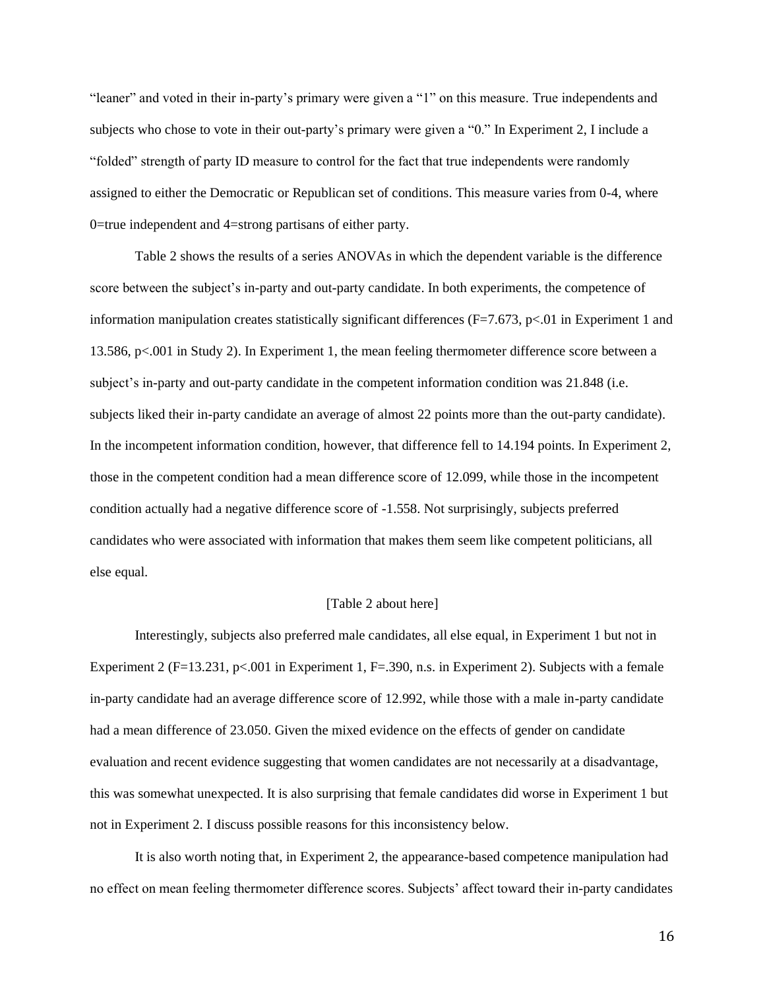"leaner" and voted in their in-party's primary were given a "1" on this measure. True independents and subjects who chose to vote in their out-party's primary were given a "0." In Experiment 2, I include a "folded" strength of party ID measure to control for the fact that true independents were randomly assigned to either the Democratic or Republican set of conditions. This measure varies from 0-4, where 0=true independent and 4=strong partisans of either party.

Table 2 shows the results of a series ANOVAs in which the dependent variable is the difference score between the subject's in-party and out-party candidate. In both experiments, the competence of information manipulation creates statistically significant differences (F=7.673, p<.01 in Experiment 1 and 13.586, p<.001 in Study 2). In Experiment 1, the mean feeling thermometer difference score between a subject's in-party and out-party candidate in the competent information condition was 21.848 (i.e. subjects liked their in-party candidate an average of almost 22 points more than the out-party candidate). In the incompetent information condition, however, that difference fell to 14.194 points. In Experiment 2, those in the competent condition had a mean difference score of 12.099, while those in the incompetent condition actually had a negative difference score of -1.558. Not surprisingly, subjects preferred candidates who were associated with information that makes them seem like competent politicians, all else equal.

#### [Table 2 about here]

Interestingly, subjects also preferred male candidates, all else equal, in Experiment 1 but not in Experiment 2 (F=13.231, p<.001 in Experiment 1, F=.390, n.s. in Experiment 2). Subjects with a female in-party candidate had an average difference score of 12.992, while those with a male in-party candidate had a mean difference of 23.050. Given the mixed evidence on the effects of gender on candidate evaluation and recent evidence suggesting that women candidates are not necessarily at a disadvantage, this was somewhat unexpected. It is also surprising that female candidates did worse in Experiment 1 but not in Experiment 2. I discuss possible reasons for this inconsistency below.

It is also worth noting that, in Experiment 2, the appearance-based competence manipulation had no effect on mean feeling thermometer difference scores. Subjects' affect toward their in-party candidates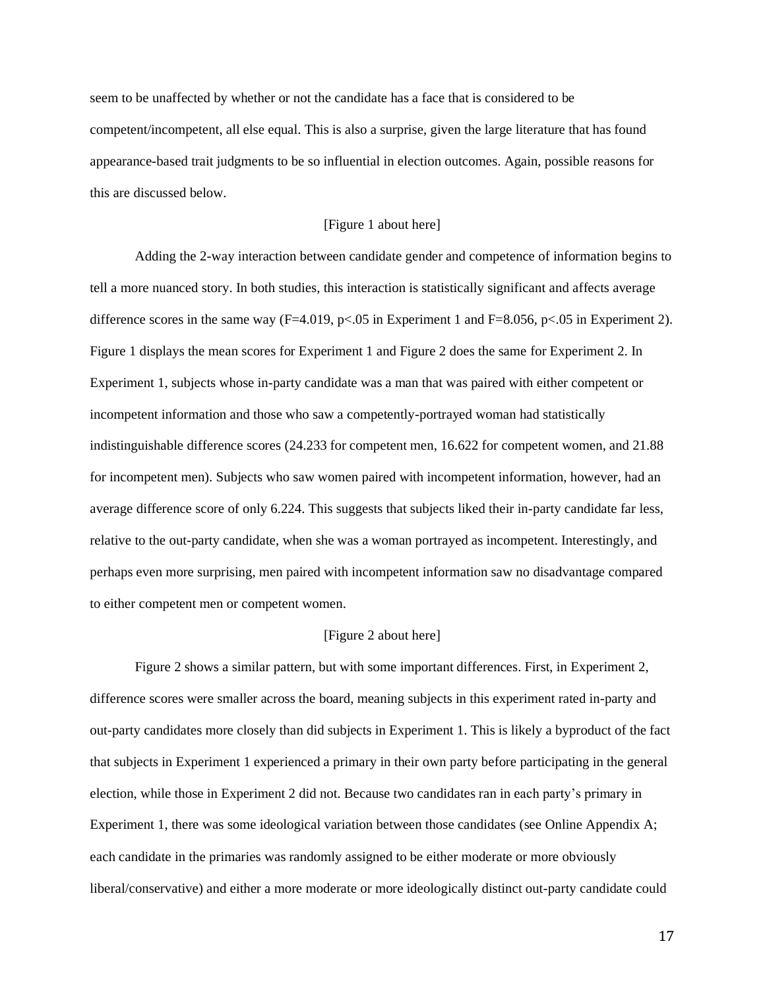seem to be unaffected by whether or not the candidate has a face that is considered to be competent/incompetent, all else equal. This is also a surprise, given the large literature that has found appearance-based trait judgments to be so influential in election outcomes. Again, possible reasons for this are discussed below.

### [Figure 1 about here]

Adding the 2-way interaction between candidate gender and competence of information begins to tell a more nuanced story. In both studies, this interaction is statistically significant and affects average difference scores in the same way  $(F=4.019, p<0.05$  in Experiment 1 and  $F=8.056, p<0.05$  in Experiment 2). Figure 1 displays the mean scores for Experiment 1 and Figure 2 does the same for Experiment 2. In Experiment 1, subjects whose in-party candidate was a man that was paired with either competent or incompetent information and those who saw a competently-portrayed woman had statistically indistinguishable difference scores (24.233 for competent men, 16.622 for competent women, and 21.88 for incompetent men). Subjects who saw women paired with incompetent information, however, had an average difference score of only 6.224. This suggests that subjects liked their in-party candidate far less, relative to the out-party candidate, when she was a woman portrayed as incompetent. Interestingly, and perhaps even more surprising, men paired with incompetent information saw no disadvantage compared to either competent men or competent women.

#### [Figure 2 about here]

Figure 2 shows a similar pattern, but with some important differences. First, in Experiment 2, difference scores were smaller across the board, meaning subjects in this experiment rated in-party and out-party candidates more closely than did subjects in Experiment 1. This is likely a byproduct of the fact that subjects in Experiment 1 experienced a primary in their own party before participating in the general election, while those in Experiment 2 did not. Because two candidates ran in each party's primary in Experiment 1, there was some ideological variation between those candidates (see Online Appendix A; each candidate in the primaries was randomly assigned to be either moderate or more obviously liberal/conservative) and either a more moderate or more ideologically distinct out-party candidate could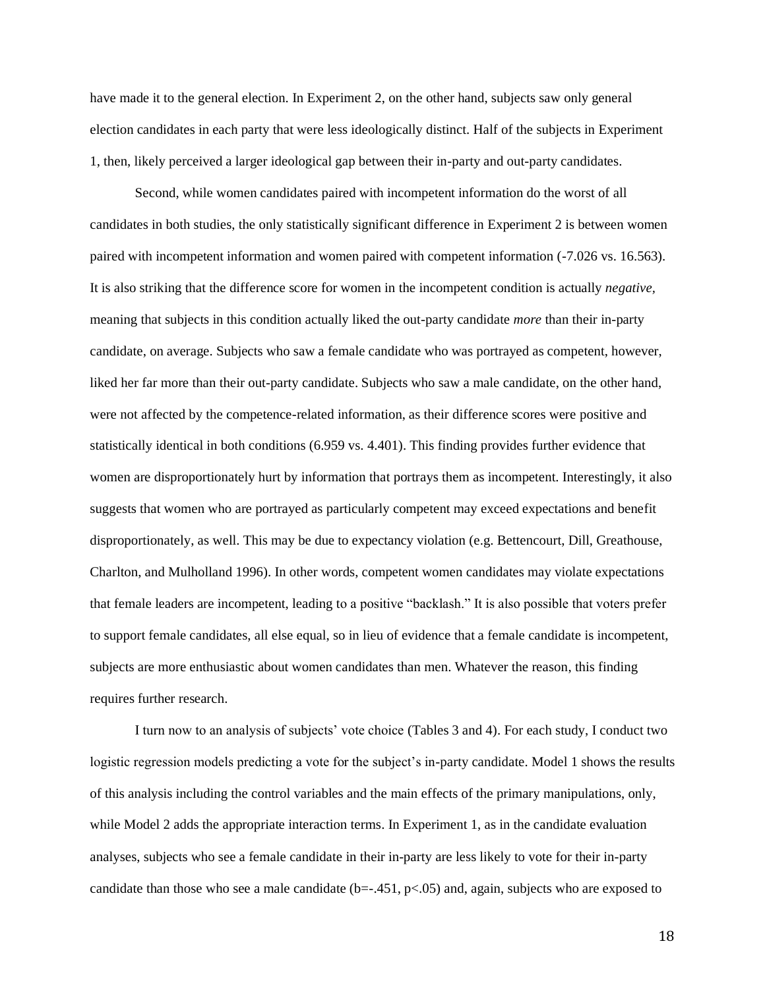have made it to the general election. In Experiment 2, on the other hand, subjects saw only general election candidates in each party that were less ideologically distinct. Half of the subjects in Experiment 1, then, likely perceived a larger ideological gap between their in-party and out-party candidates.

Second, while women candidates paired with incompetent information do the worst of all candidates in both studies, the only statistically significant difference in Experiment 2 is between women paired with incompetent information and women paired with competent information (-7.026 vs. 16.563). It is also striking that the difference score for women in the incompetent condition is actually *negative,*  meaning that subjects in this condition actually liked the out-party candidate *more* than their in-party candidate, on average. Subjects who saw a female candidate who was portrayed as competent, however, liked her far more than their out-party candidate. Subjects who saw a male candidate, on the other hand, were not affected by the competence-related information, as their difference scores were positive and statistically identical in both conditions (6.959 vs. 4.401). This finding provides further evidence that women are disproportionately hurt by information that portrays them as incompetent. Interestingly, it also suggests that women who are portrayed as particularly competent may exceed expectations and benefit disproportionately, as well. This may be due to expectancy violation (e.g. Bettencourt, Dill, Greathouse, Charlton, and Mulholland 1996). In other words, competent women candidates may violate expectations that female leaders are incompetent, leading to a positive "backlash." It is also possible that voters prefer to support female candidates, all else equal, so in lieu of evidence that a female candidate is incompetent, subjects are more enthusiastic about women candidates than men. Whatever the reason, this finding requires further research.

I turn now to an analysis of subjects' vote choice (Tables 3 and 4). For each study, I conduct two logistic regression models predicting a vote for the subject's in-party candidate. Model 1 shows the results of this analysis including the control variables and the main effects of the primary manipulations, only, while Model 2 adds the appropriate interaction terms. In Experiment 1, as in the candidate evaluation analyses, subjects who see a female candidate in their in-party are less likely to vote for their in-party candidate than those who see a male candidate  $(b=-.451, p<.05)$  and, again, subjects who are exposed to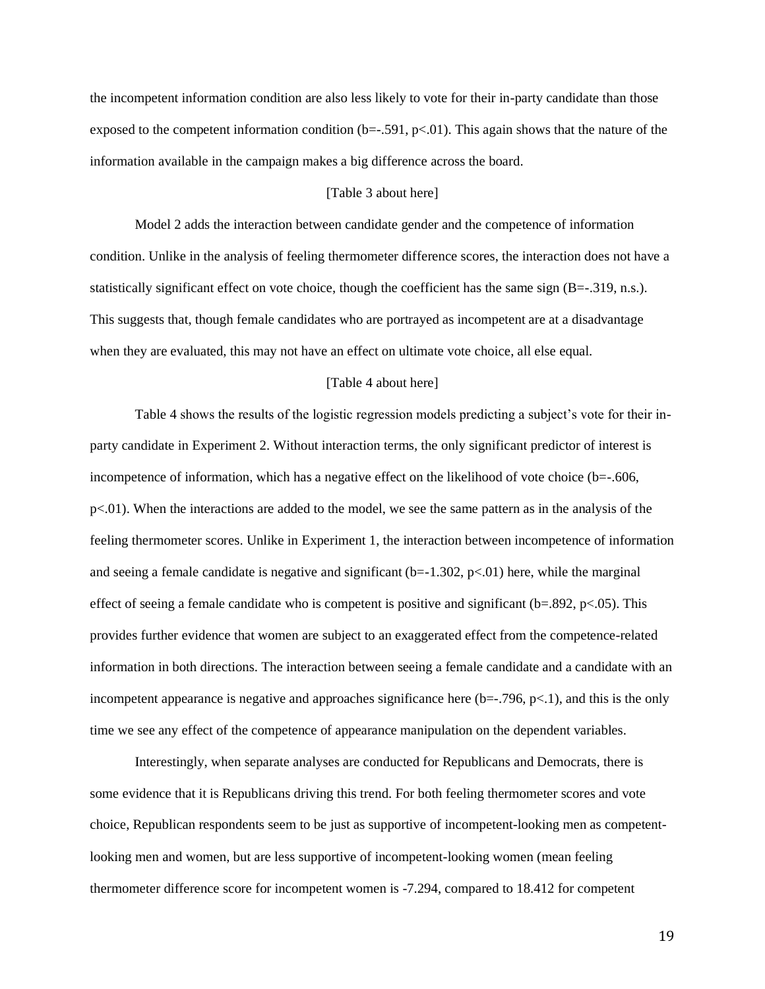the incompetent information condition are also less likely to vote for their in-party candidate than those exposed to the competent information condition  $(b=-.591, p<.01)$ . This again shows that the nature of the information available in the campaign makes a big difference across the board.

#### [Table 3 about here]

Model 2 adds the interaction between candidate gender and the competence of information condition. Unlike in the analysis of feeling thermometer difference scores, the interaction does not have a statistically significant effect on vote choice, though the coefficient has the same sign (B=-.319, n.s.). This suggests that, though female candidates who are portrayed as incompetent are at a disadvantage when they are evaluated, this may not have an effect on ultimate vote choice, all else equal.

#### [Table 4 about here]

Table 4 shows the results of the logistic regression models predicting a subject's vote for their inparty candidate in Experiment 2. Without interaction terms, the only significant predictor of interest is incompetence of information, which has a negative effect on the likelihood of vote choice (b=-.606, p<.01). When the interactions are added to the model, we see the same pattern as in the analysis of the feeling thermometer scores. Unlike in Experiment 1, the interaction between incompetence of information and seeing a female candidate is negative and significant  $(b=-1.302, p<0.01)$  here, while the marginal effect of seeing a female candidate who is competent is positive and significant ( $b=.892$ ,  $p<.05$ ). This provides further evidence that women are subject to an exaggerated effect from the competence-related information in both directions. The interaction between seeing a female candidate and a candidate with an incompetent appearance is negative and approaches significance here  $(b=-.796, p<.1)$ , and this is the only time we see any effect of the competence of appearance manipulation on the dependent variables.

Interestingly, when separate analyses are conducted for Republicans and Democrats, there is some evidence that it is Republicans driving this trend. For both feeling thermometer scores and vote choice, Republican respondents seem to be just as supportive of incompetent-looking men as competentlooking men and women, but are less supportive of incompetent-looking women (mean feeling thermometer difference score for incompetent women is -7.294, compared to 18.412 for competent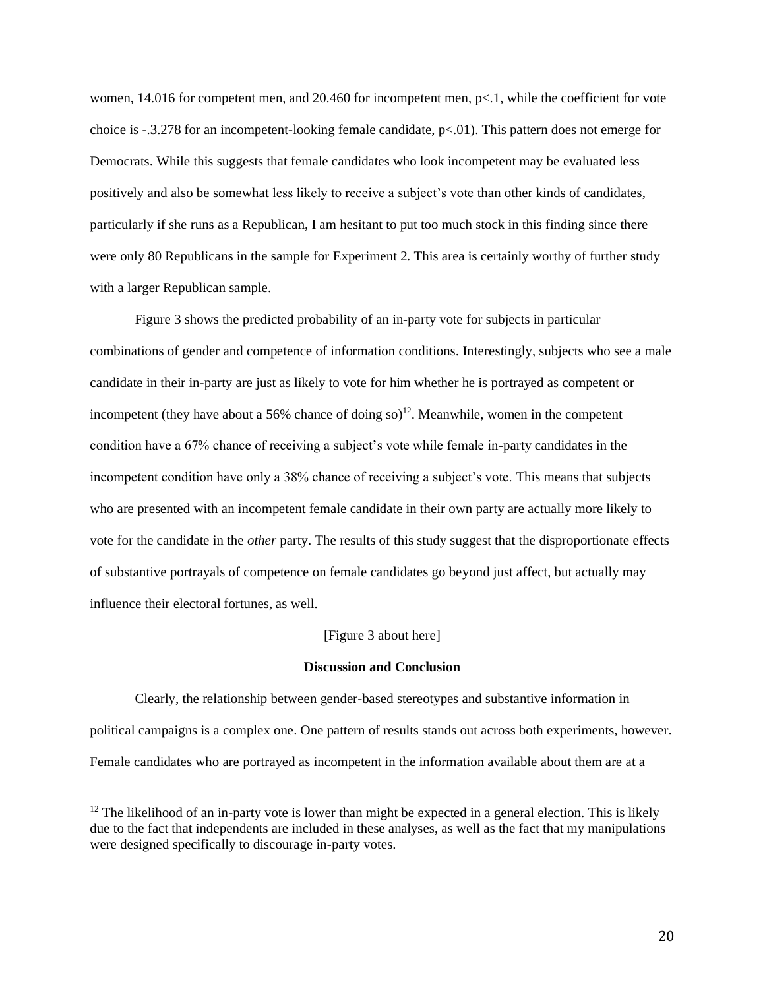women, 14.016 for competent men, and 20.460 for incompetent men, p<.1, while the coefficient for vote choice is -.3.278 for an incompetent-looking female candidate,  $p<0$ . This pattern does not emerge for Democrats. While this suggests that female candidates who look incompetent may be evaluated less positively and also be somewhat less likely to receive a subject's vote than other kinds of candidates, particularly if she runs as a Republican, I am hesitant to put too much stock in this finding since there were only 80 Republicans in the sample for Experiment 2. This area is certainly worthy of further study with a larger Republican sample.

Figure 3 shows the predicted probability of an in-party vote for subjects in particular combinations of gender and competence of information conditions. Interestingly, subjects who see a male candidate in their in-party are just as likely to vote for him whether he is portrayed as competent or incompetent (they have about a 56% chance of doing so)<sup>12</sup>. Meanwhile, women in the competent condition have a 67% chance of receiving a subject's vote while female in-party candidates in the incompetent condition have only a 38% chance of receiving a subject's vote. This means that subjects who are presented with an incompetent female candidate in their own party are actually more likely to vote for the candidate in the *other* party. The results of this study suggest that the disproportionate effects of substantive portrayals of competence on female candidates go beyond just affect, but actually may influence their electoral fortunes, as well.

## [Figure 3 about here]

### **Discussion and Conclusion**

Clearly, the relationship between gender-based stereotypes and substantive information in political campaigns is a complex one. One pattern of results stands out across both experiments, however. Female candidates who are portrayed as incompetent in the information available about them are at a

 $12$  The likelihood of an in-party vote is lower than might be expected in a general election. This is likely due to the fact that independents are included in these analyses, as well as the fact that my manipulations were designed specifically to discourage in-party votes.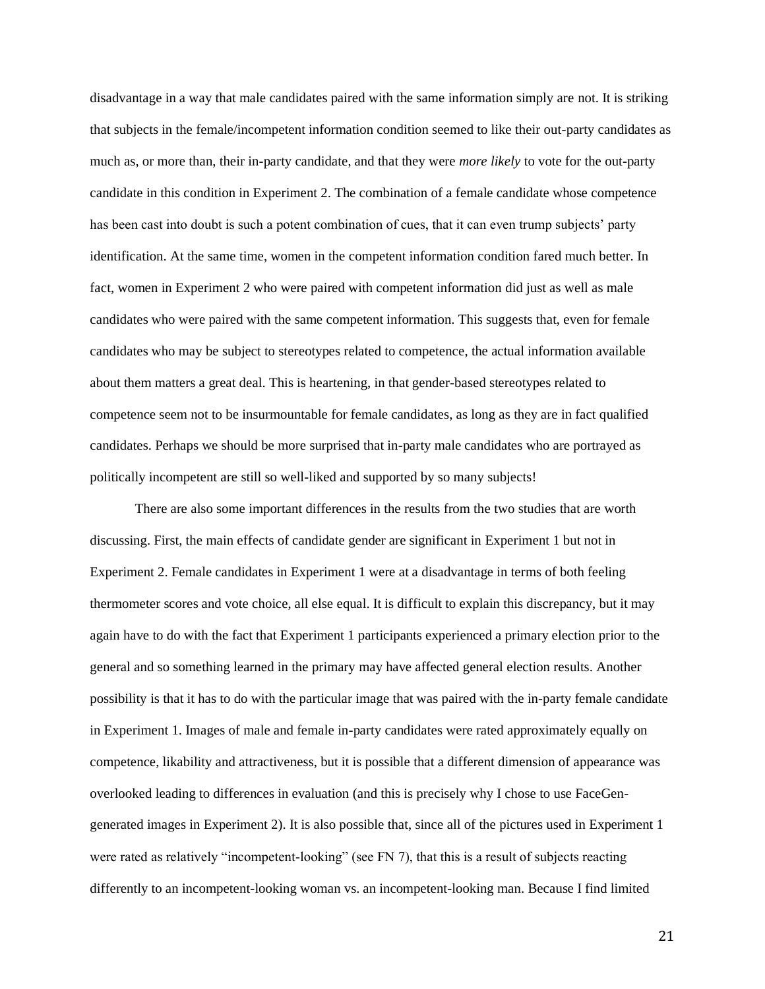disadvantage in a way that male candidates paired with the same information simply are not. It is striking that subjects in the female/incompetent information condition seemed to like their out-party candidates as much as, or more than, their in-party candidate, and that they were *more likely* to vote for the out-party candidate in this condition in Experiment 2. The combination of a female candidate whose competence has been cast into doubt is such a potent combination of cues, that it can even trump subjects' party identification. At the same time, women in the competent information condition fared much better. In fact, women in Experiment 2 who were paired with competent information did just as well as male candidates who were paired with the same competent information. This suggests that, even for female candidates who may be subject to stereotypes related to competence, the actual information available about them matters a great deal. This is heartening, in that gender-based stereotypes related to competence seem not to be insurmountable for female candidates, as long as they are in fact qualified candidates. Perhaps we should be more surprised that in-party male candidates who are portrayed as politically incompetent are still so well-liked and supported by so many subjects!

There are also some important differences in the results from the two studies that are worth discussing. First, the main effects of candidate gender are significant in Experiment 1 but not in Experiment 2. Female candidates in Experiment 1 were at a disadvantage in terms of both feeling thermometer scores and vote choice, all else equal. It is difficult to explain this discrepancy, but it may again have to do with the fact that Experiment 1 participants experienced a primary election prior to the general and so something learned in the primary may have affected general election results. Another possibility is that it has to do with the particular image that was paired with the in-party female candidate in Experiment 1. Images of male and female in-party candidates were rated approximately equally on competence, likability and attractiveness, but it is possible that a different dimension of appearance was overlooked leading to differences in evaluation (and this is precisely why I chose to use FaceGengenerated images in Experiment 2). It is also possible that, since all of the pictures used in Experiment 1 were rated as relatively "incompetent-looking" (see FN 7), that this is a result of subjects reacting differently to an incompetent-looking woman vs. an incompetent-looking man. Because I find limited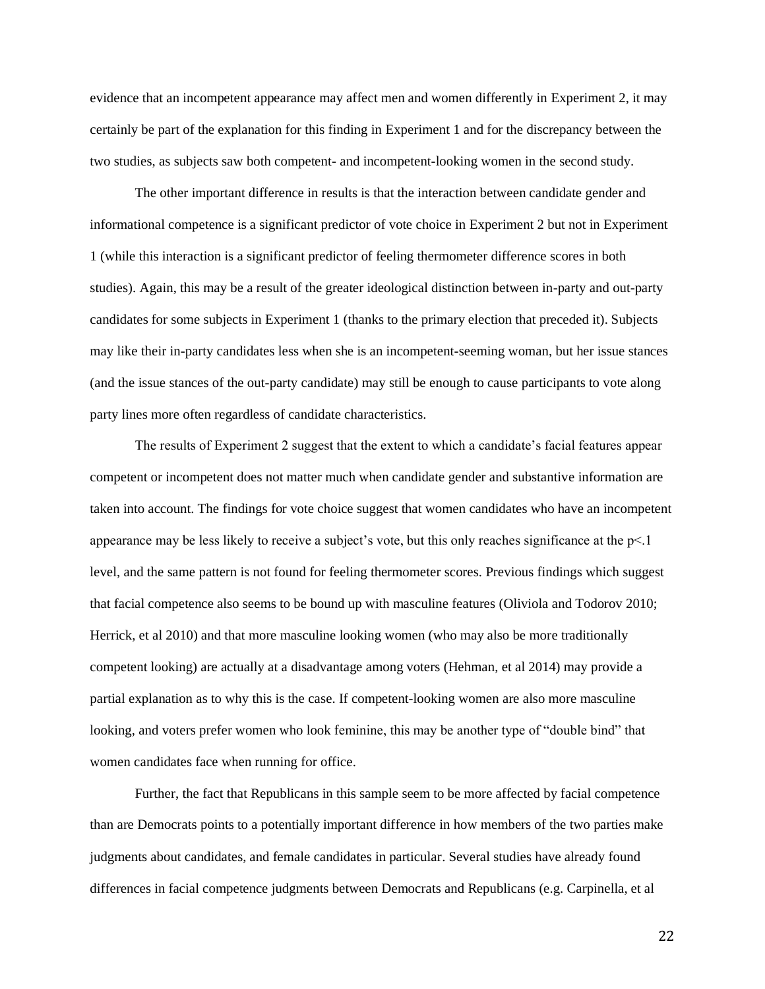evidence that an incompetent appearance may affect men and women differently in Experiment 2, it may certainly be part of the explanation for this finding in Experiment 1 and for the discrepancy between the two studies, as subjects saw both competent- and incompetent-looking women in the second study.

The other important difference in results is that the interaction between candidate gender and informational competence is a significant predictor of vote choice in Experiment 2 but not in Experiment 1 (while this interaction is a significant predictor of feeling thermometer difference scores in both studies). Again, this may be a result of the greater ideological distinction between in-party and out-party candidates for some subjects in Experiment 1 (thanks to the primary election that preceded it). Subjects may like their in-party candidates less when she is an incompetent-seeming woman, but her issue stances (and the issue stances of the out-party candidate) may still be enough to cause participants to vote along party lines more often regardless of candidate characteristics.

The results of Experiment 2 suggest that the extent to which a candidate's facial features appear competent or incompetent does not matter much when candidate gender and substantive information are taken into account. The findings for vote choice suggest that women candidates who have an incompetent appearance may be less likely to receive a subject's vote, but this only reaches significance at the  $p<1$ level, and the same pattern is not found for feeling thermometer scores. Previous findings which suggest that facial competence also seems to be bound up with masculine features (Oliviola and Todorov 2010; Herrick, et al 2010) and that more masculine looking women (who may also be more traditionally competent looking) are actually at a disadvantage among voters (Hehman, et al 2014) may provide a partial explanation as to why this is the case. If competent-looking women are also more masculine looking, and voters prefer women who look feminine, this may be another type of "double bind" that women candidates face when running for office.

Further, the fact that Republicans in this sample seem to be more affected by facial competence than are Democrats points to a potentially important difference in how members of the two parties make judgments about candidates, and female candidates in particular. Several studies have already found differences in facial competence judgments between Democrats and Republicans (e.g. Carpinella, et al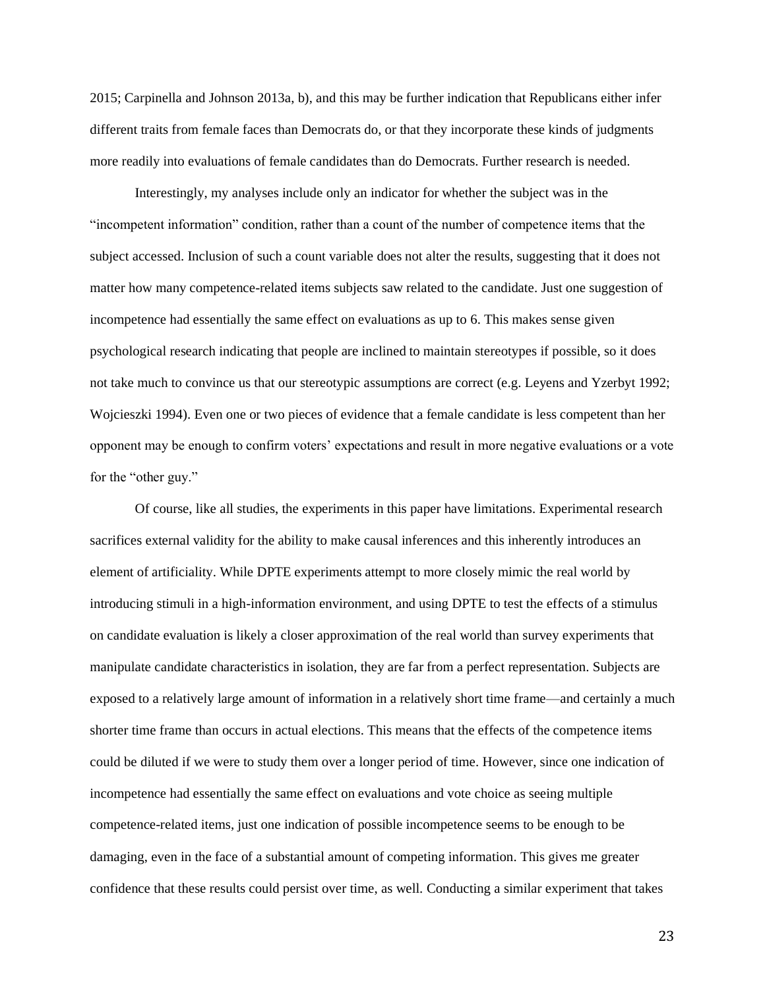2015; Carpinella and Johnson 2013a, b), and this may be further indication that Republicans either infer different traits from female faces than Democrats do, or that they incorporate these kinds of judgments more readily into evaluations of female candidates than do Democrats. Further research is needed.

Interestingly, my analyses include only an indicator for whether the subject was in the "incompetent information" condition, rather than a count of the number of competence items that the subject accessed. Inclusion of such a count variable does not alter the results, suggesting that it does not matter how many competence-related items subjects saw related to the candidate. Just one suggestion of incompetence had essentially the same effect on evaluations as up to 6. This makes sense given psychological research indicating that people are inclined to maintain stereotypes if possible, so it does not take much to convince us that our stereotypic assumptions are correct (e.g. Leyens and Yzerbyt 1992; Wojcieszki 1994). Even one or two pieces of evidence that a female candidate is less competent than her opponent may be enough to confirm voters' expectations and result in more negative evaluations or a vote for the "other guy."

Of course, like all studies, the experiments in this paper have limitations. Experimental research sacrifices external validity for the ability to make causal inferences and this inherently introduces an element of artificiality. While DPTE experiments attempt to more closely mimic the real world by introducing stimuli in a high-information environment, and using DPTE to test the effects of a stimulus on candidate evaluation is likely a closer approximation of the real world than survey experiments that manipulate candidate characteristics in isolation, they are far from a perfect representation. Subjects are exposed to a relatively large amount of information in a relatively short time frame—and certainly a much shorter time frame than occurs in actual elections. This means that the effects of the competence items could be diluted if we were to study them over a longer period of time. However, since one indication of incompetence had essentially the same effect on evaluations and vote choice as seeing multiple competence-related items, just one indication of possible incompetence seems to be enough to be damaging, even in the face of a substantial amount of competing information. This gives me greater confidence that these results could persist over time, as well. Conducting a similar experiment that takes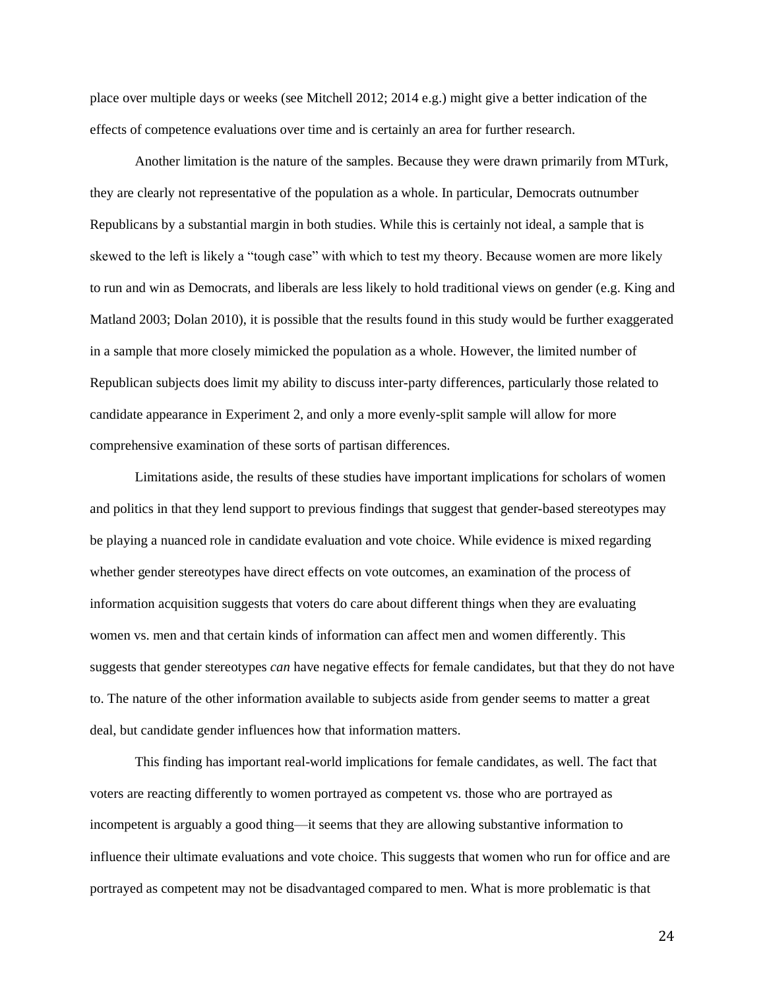place over multiple days or weeks (see Mitchell 2012; 2014 e.g.) might give a better indication of the effects of competence evaluations over time and is certainly an area for further research.

Another limitation is the nature of the samples. Because they were drawn primarily from MTurk, they are clearly not representative of the population as a whole. In particular, Democrats outnumber Republicans by a substantial margin in both studies. While this is certainly not ideal, a sample that is skewed to the left is likely a "tough case" with which to test my theory. Because women are more likely to run and win as Democrats, and liberals are less likely to hold traditional views on gender (e.g. King and Matland 2003; Dolan 2010), it is possible that the results found in this study would be further exaggerated in a sample that more closely mimicked the population as a whole. However, the limited number of Republican subjects does limit my ability to discuss inter-party differences, particularly those related to candidate appearance in Experiment 2, and only a more evenly-split sample will allow for more comprehensive examination of these sorts of partisan differences.

Limitations aside, the results of these studies have important implications for scholars of women and politics in that they lend support to previous findings that suggest that gender-based stereotypes may be playing a nuanced role in candidate evaluation and vote choice. While evidence is mixed regarding whether gender stereotypes have direct effects on vote outcomes, an examination of the process of information acquisition suggests that voters do care about different things when they are evaluating women vs. men and that certain kinds of information can affect men and women differently. This suggests that gender stereotypes *can* have negative effects for female candidates, but that they do not have to. The nature of the other information available to subjects aside from gender seems to matter a great deal, but candidate gender influences how that information matters.

This finding has important real-world implications for female candidates, as well. The fact that voters are reacting differently to women portrayed as competent vs. those who are portrayed as incompetent is arguably a good thing—it seems that they are allowing substantive information to influence their ultimate evaluations and vote choice. This suggests that women who run for office and are portrayed as competent may not be disadvantaged compared to men. What is more problematic is that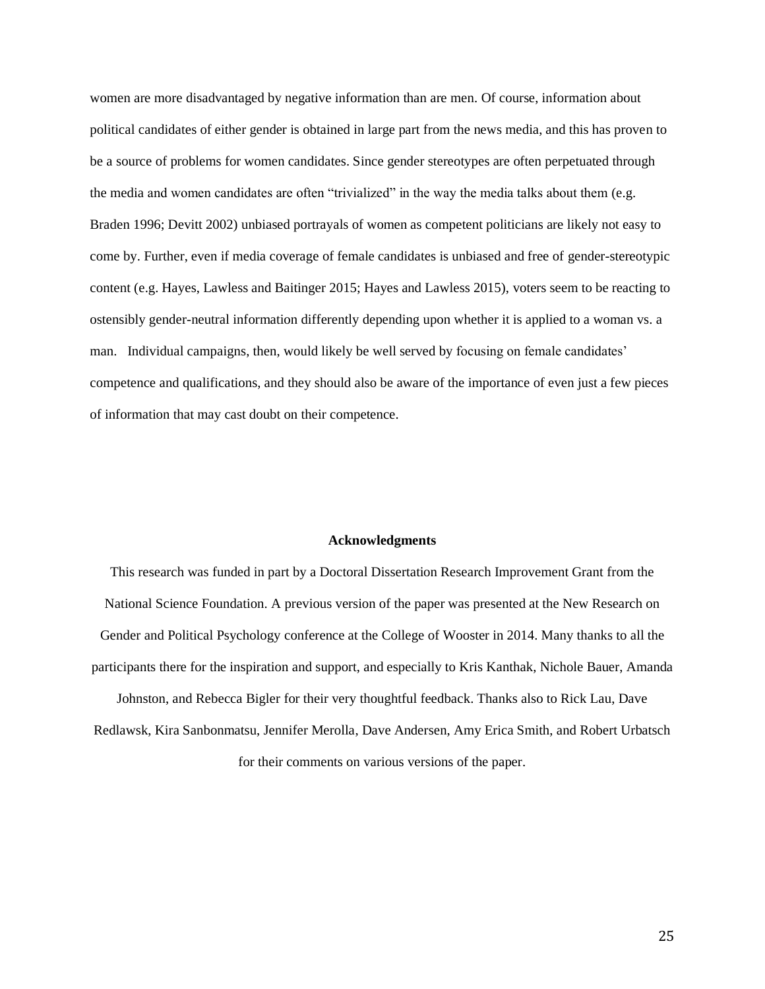women are more disadvantaged by negative information than are men. Of course, information about political candidates of either gender is obtained in large part from the news media, and this has proven to be a source of problems for women candidates. Since gender stereotypes are often perpetuated through the media and women candidates are often "trivialized" in the way the media talks about them (e.g. Braden 1996; Devitt 2002) unbiased portrayals of women as competent politicians are likely not easy to come by. Further, even if media coverage of female candidates is unbiased and free of gender-stereotypic content (e.g. Hayes, Lawless and Baitinger 2015; Hayes and Lawless 2015), voters seem to be reacting to ostensibly gender-neutral information differently depending upon whether it is applied to a woman vs. a man. Individual campaigns, then, would likely be well served by focusing on female candidates' competence and qualifications, and they should also be aware of the importance of even just a few pieces of information that may cast doubt on their competence.

#### **Acknowledgments**

This research was funded in part by a Doctoral Dissertation Research Improvement Grant from the National Science Foundation. A previous version of the paper was presented at the New Research on Gender and Political Psychology conference at the College of Wooster in 2014. Many thanks to all the participants there for the inspiration and support, and especially to Kris Kanthak, Nichole Bauer, Amanda Johnston, and Rebecca Bigler for their very thoughtful feedback. Thanks also to Rick Lau, Dave

Redlawsk, Kira Sanbonmatsu, Jennifer Merolla, Dave Andersen, Amy Erica Smith, and Robert Urbatsch for their comments on various versions of the paper.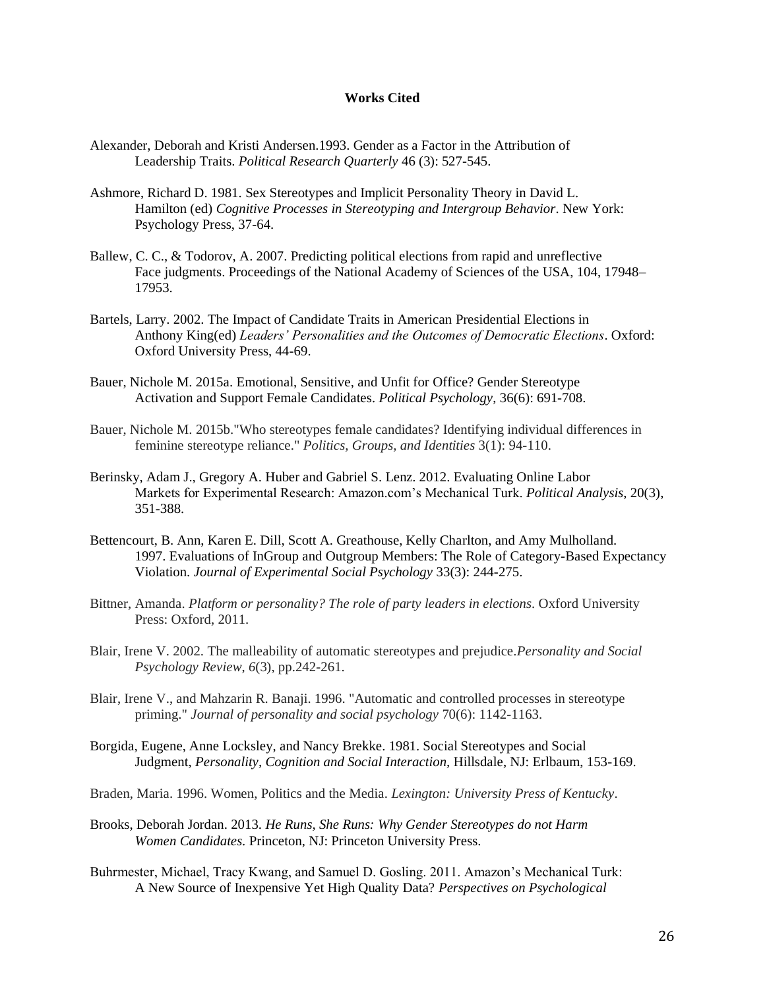### **Works Cited**

- Alexander, Deborah and Kristi Andersen.1993. Gender as a Factor in the Attribution of Leadership Traits. *Political Research Quarterly* 46 (3): 527-545.
- Ashmore, Richard D. 1981. Sex Stereotypes and Implicit Personality Theory in David L. Hamilton (ed) *Cognitive Processes in Stereotyping and Intergroup Behavior*. New York: Psychology Press, 37-64.
- Ballew, C. C., & Todorov, A. 2007. Predicting political elections from rapid and unreflective Face judgments. Proceedings of the National Academy of Sciences of the USA, 104, 17948– 17953.
- Bartels, Larry. 2002. The Impact of Candidate Traits in American Presidential Elections in Anthony King(ed) *Leaders' Personalities and the Outcomes of Democratic Elections*. Oxford: Oxford University Press, 44-69.
- Bauer, Nichole M. 2015a. Emotional, Sensitive, and Unfit for Office? Gender Stereotype Activation and Support Female Candidates. *Political Psychology*, 36(6): 691-708.
- Bauer, Nichole M. 2015b."Who stereotypes female candidates? Identifying individual differences in feminine stereotype reliance." *Politics, Groups, and Identities* 3(1): 94-110.
- Berinsky, Adam J., Gregory A. Huber and Gabriel S. Lenz. 2012. Evaluating Online Labor Markets for Experimental Research: Amazon.com's Mechanical Turk. *Political Analysis*, 20(3), 351-388.
- Bettencourt, B. Ann, Karen E. Dill, Scott A. Greathouse, Kelly Charlton, and Amy Mulholland. 1997. Evaluations of InGroup and Outgroup Members: The Role of Category-Based Expectancy Violation. *Journal of Experimental Social Psychology* 33(3): 244-275.
- Bittner, Amanda. *Platform or personality? The role of party leaders in elections*. Oxford University Press: Oxford, 2011.
- Blair, Irene V. 2002. The malleability of automatic stereotypes and prejudice.*Personality and Social Psychology Review*, *6*(3), pp.242-261.
- Blair, Irene V., and Mahzarin R. Banaji. 1996. "Automatic and controlled processes in stereotype priming." *Journal of personality and social psychology* 70(6): 1142-1163.
- Borgida, Eugene, Anne Locksley, and Nancy Brekke. 1981. Social Stereotypes and Social Judgment, *Personality, Cognition and Social Interaction,* Hillsdale, NJ: Erlbaum, 153-169.
- Braden, Maria. 1996. Women, Politics and the Media. *Lexington: University Press of Kentucky*.
- Brooks, Deborah Jordan. 2013. *He Runs, She Runs: Why Gender Stereotypes do not Harm Women Candidates.* Princeton, NJ: Princeton University Press.
- Buhrmester, Michael, Tracy Kwang, and Samuel D. Gosling. 2011. Amazon's Mechanical Turk: A New Source of Inexpensive Yet High Quality Data? *Perspectives on Psychological*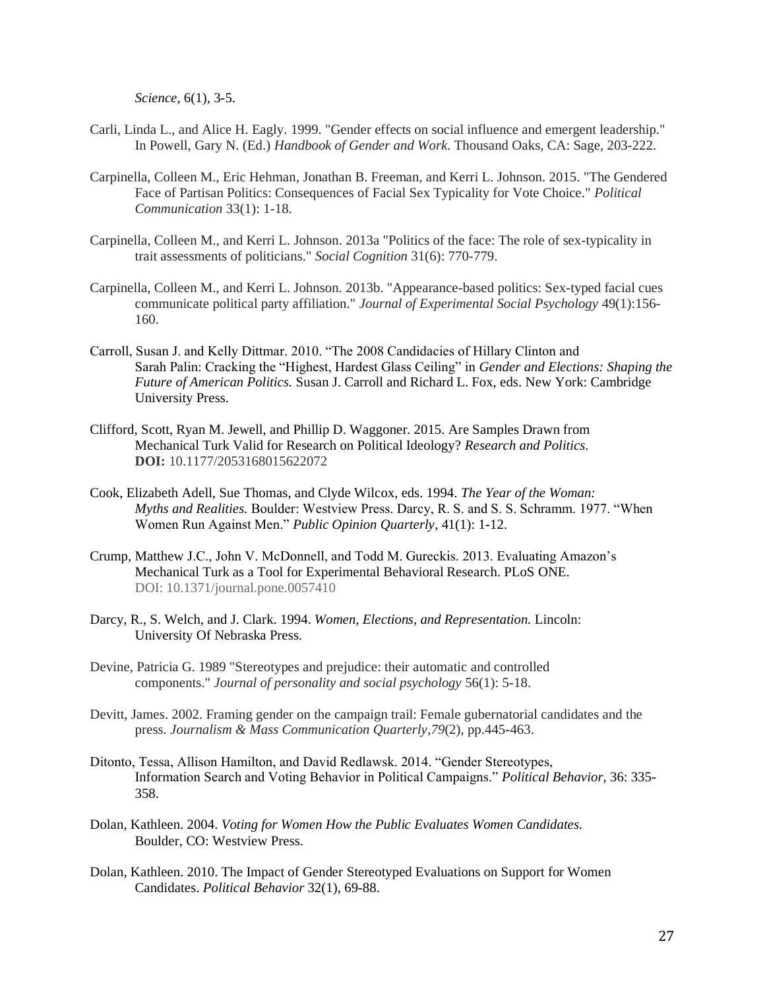*Science*, 6(1), 3-5.

- Carli, Linda L., and Alice H. Eagly. 1999. "Gender effects on social influence and emergent leadership." In Powell, Gary N. (Ed.) *Handbook of Gender and Work.* Thousand Oaks, CA: Sage, 203-222.
- Carpinella, Colleen M., Eric Hehman, Jonathan B. Freeman, and Kerri L. Johnson. 2015. "The Gendered Face of Partisan Politics: Consequences of Facial Sex Typicality for Vote Choice." *Political Communication* 33(1): 1-18.
- Carpinella, Colleen M., and Kerri L. Johnson. 2013a "Politics of the face: The role of sex-typicality in trait assessments of politicians." *Social Cognition* 31(6): 770-779.
- Carpinella, Colleen M., and Kerri L. Johnson. 2013b. "Appearance-based politics: Sex-typed facial cues communicate political party affiliation." *Journal of Experimental Social Psychology* 49(1):156- 160.
- Carroll, Susan J. and Kelly Dittmar. 2010. "The 2008 Candidacies of Hillary Clinton and Sarah Palin: Cracking the "Highest, Hardest Glass Ceiling" in *Gender and Elections: Shaping the Future of American Politics.* Susan J. Carroll and Richard L. Fox, eds. New York: Cambridge University Press.
- Clifford, Scott, Ryan M. Jewell, and Phillip D. Waggoner. 2015. Are Samples Drawn from Mechanical Turk Valid for Research on Political Ideology? *Research and Politics.*  **DOI:** 10.1177/2053168015622072
- Cook, Elizabeth Adell, Sue Thomas, and Clyde Wilcox, eds. 1994. *The Year of the Woman: Myths and Realities.* Boulder: Westview Press. Darcy, R. S. and S. S. Schramm. 1977. "When Women Run Against Men." *Public Opinion Quarterly*, 41(1): 1-12.
- Crump, Matthew J.C., John V. McDonnell, and Todd M. Gureckis. 2013. Evaluating Amazon's Mechanical Turk as a Tool for Experimental Behavioral Research. PLoS ONE. DOI: 10.1371/journal.pone.0057410
- Darcy, R., S. Welch, and J. Clark. 1994. *Women, Elections, and Representation.* Lincoln: University Of Nebraska Press.
- Devine, Patricia G. 1989 "Stereotypes and prejudice: their automatic and controlled components." *Journal of personality and social psychology* 56(1): 5-18.
- Devitt, James. 2002. Framing gender on the campaign trail: Female gubernatorial candidates and the press. *Journalism & Mass Communication Quarterly*,*79*(2), pp.445-463.
- Ditonto, Tessa, Allison Hamilton, and David Redlawsk. 2014. "Gender Stereotypes, Information Search and Voting Behavior in Political Campaigns." *Political Behavior*, 36: 335- 358.
- Dolan, Kathleen. 2004. *Voting for Women How the Public Evaluates Women Candidates.* Boulder, CO: Westview Press.
- Dolan, Kathleen. 2010. The Impact of Gender Stereotyped Evaluations on Support for Women Candidates. *Political Behavior* 32(1), 69-88.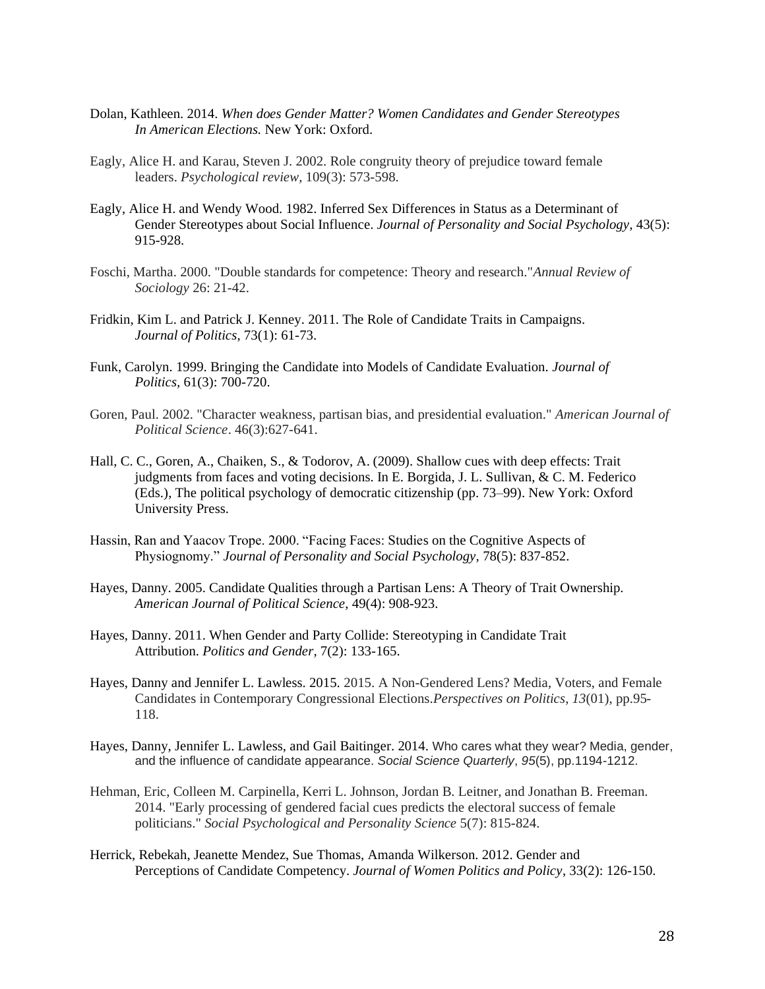- Dolan, Kathleen. 2014. *When does Gender Matter? Women Candidates and Gender Stereotypes In American Elections.* New York: Oxford.
- Eagly, Alice H. and Karau, Steven J. 2002. Role congruity theory of prejudice toward female leaders. *Psychological review*, 109(3): 573-598.
- Eagly, Alice H. and Wendy Wood. 1982. Inferred Sex Differences in Status as a Determinant of Gender Stereotypes about Social Influence. *Journal of Personality and Social Psychology,* 43(5): 915-928.
- Foschi, Martha. 2000. "Double standards for competence: Theory and research."*Annual Review of Sociology* 26: 21-42.
- Fridkin, Kim L. and Patrick J. Kenney. 2011. The Role of Candidate Traits in Campaigns. *Journal of Politics*, 73(1): 61-73.
- Funk, Carolyn. 1999. Bringing the Candidate into Models of Candidate Evaluation. *Journal of Politics,* 61(3): 700-720.
- Goren, Paul. 2002. "Character weakness, partisan bias, and presidential evaluation." *American Journal of Political Science*. 46(3):627-641.
- Hall, C. C., Goren, A., Chaiken, S., & Todorov, A. (2009). Shallow cues with deep effects: Trait judgments from faces and voting decisions. In E. Borgida, J. L. Sullivan, & C. M. Federico (Eds.), The political psychology of democratic citizenship (pp. 73–99). New York: Oxford University Press.
- Hassin, Ran and Yaacov Trope. 2000. "Facing Faces: Studies on the Cognitive Aspects of Physiognomy." *Journal of Personality and Social Psychology*, 78(5): 837-852.
- Hayes, Danny. 2005. Candidate Qualities through a Partisan Lens: A Theory of Trait Ownership. *American Journal of Political Science*, 49(4): 908-923.
- Hayes, Danny. 2011. When Gender and Party Collide: Stereotyping in Candidate Trait Attribution. *Politics and Gender*, 7(2): 133-165.
- Hayes, Danny and Jennifer L. Lawless. 2015. 2015. A Non-Gendered Lens? Media, Voters, and Female Candidates in Contemporary Congressional Elections.*Perspectives on Politics*, *13*(01), pp.95- 118.
- Hayes, Danny, Jennifer L. Lawless, and Gail Baitinger. 2014. Who cares what they wear? Media, gender, and the influence of candidate appearance. *Social Science Quarterly*, *95*(5), pp.1194-1212.
- Hehman, Eric, Colleen M. Carpinella, Kerri L. Johnson, Jordan B. Leitner, and Jonathan B. Freeman. 2014. "Early processing of gendered facial cues predicts the electoral success of female politicians." *Social Psychological and Personality Science* 5(7): 815-824.
- Herrick, Rebekah, Jeanette Mendez, Sue Thomas, Amanda Wilkerson. 2012. Gender and Perceptions of Candidate Competency. *Journal of Women Politics and Policy*, 33(2): 126-150.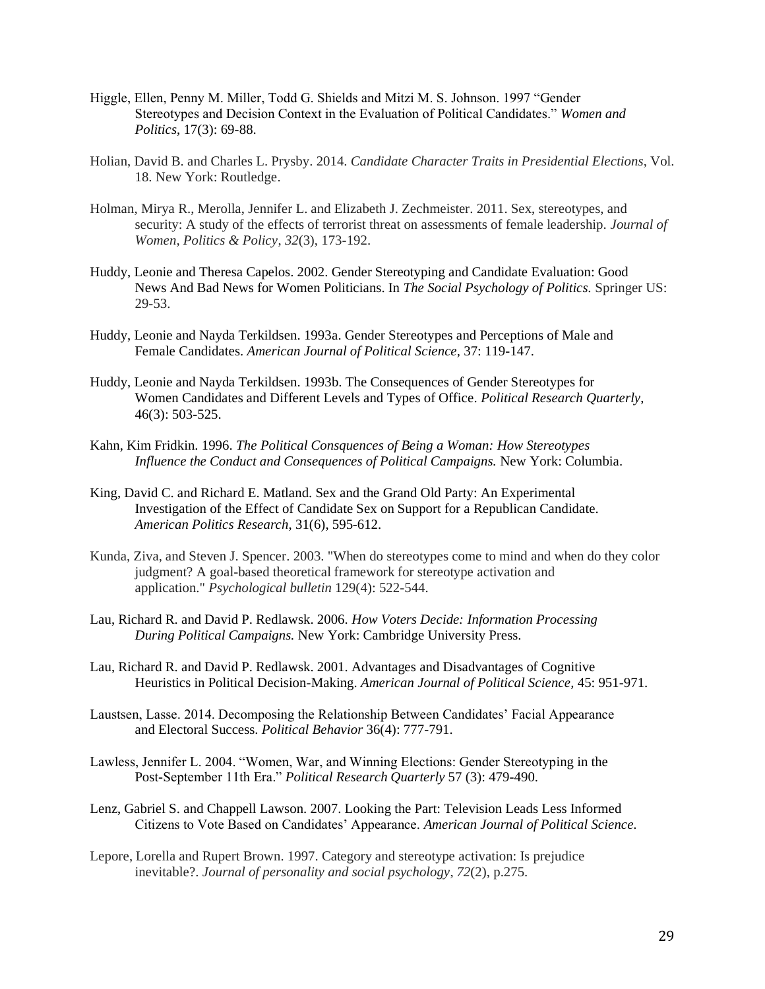- Higgle, Ellen, Penny M. Miller, Todd G. Shields and Mitzi M. S. Johnson. 1997 "Gender Stereotypes and Decision Context in the Evaluation of Political Candidates." *Women and Politics*, 17(3): 69-88.
- Holian, David B. and Charles L. Prysby. 2014. *Candidate Character Traits in Presidential Elections*, Vol. 18. New York: Routledge.
- Holman, Mirya R., Merolla, Jennifer L. and Elizabeth J. Zechmeister. 2011. Sex, stereotypes, and security: A study of the effects of terrorist threat on assessments of female leadership. *Journal of Women, Politics & Policy*, *32*(3), 173-192.
- Huddy, Leonie and Theresa Capelos. 2002. Gender Stereotyping and Candidate Evaluation: Good News And Bad News for Women Politicians. In *The Social Psychology of Politics.* Springer US: 29-53.
- Huddy, Leonie and Nayda Terkildsen. 1993a. Gender Stereotypes and Perceptions of Male and Female Candidates. *American Journal of Political Science,* 37: 119-147.
- Huddy, Leonie and Nayda Terkildsen. 1993b. The Consequences of Gender Stereotypes for Women Candidates and Different Levels and Types of Office. *Political Research Quarterly*, 46(3): 503-525.
- Kahn, Kim Fridkin. 1996. *The Political Consquences of Being a Woman: How Stereotypes Influence the Conduct and Consequences of Political Campaigns.* New York: Columbia.
- King, David C. and Richard E. Matland. Sex and the Grand Old Party: An Experimental Investigation of the Effect of Candidate Sex on Support for a Republican Candidate. *American Politics Research*, 31(6), 595-612.
- Kunda, Ziva, and Steven J. Spencer. 2003. "When do stereotypes come to mind and when do they color judgment? A goal-based theoretical framework for stereotype activation and application." *Psychological bulletin* 129(4): 522-544.
- Lau, Richard R. and David P. Redlawsk. 2006. *How Voters Decide: Information Processing During Political Campaigns.* New York: Cambridge University Press.
- Lau, Richard R. and David P. Redlawsk. 2001. Advantages and Disadvantages of Cognitive Heuristics in Political Decision-Making. *American Journal of Political Science,* 45: 951-971.
- Laustsen, Lasse. 2014. Decomposing the Relationship Between Candidates' Facial Appearance and Electoral Success. *Political Behavior* 36(4): 777-791.
- Lawless, Jennifer L. 2004. "Women, War, and Winning Elections: Gender Stereotyping in the Post-September 11th Era." *Political Research Quarterly* 57 (3): 479-490.
- Lenz, Gabriel S. and Chappell Lawson. 2007. Looking the Part: Television Leads Less Informed Citizens to Vote Based on Candidates' Appearance. *American Journal of Political Science.*
- Lepore, Lorella and Rupert Brown. 1997. Category and stereotype activation: Is prejudice inevitable?. *Journal of personality and social psychology*, *72*(2), p.275.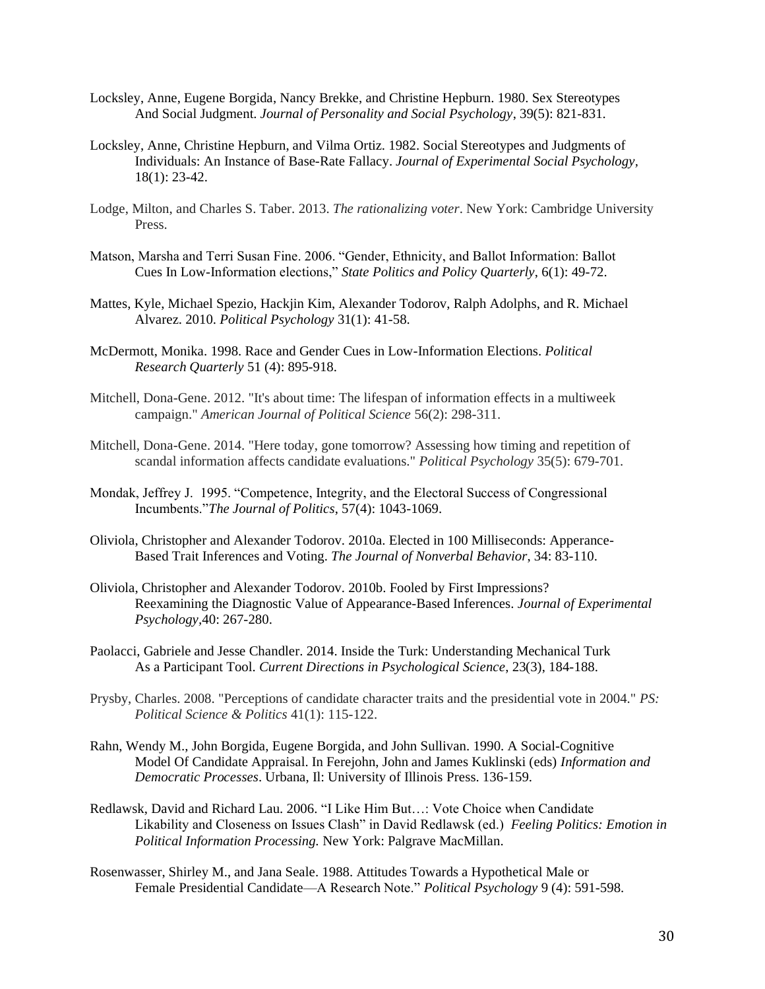- Locksley, Anne, Eugene Borgida, Nancy Brekke, and Christine Hepburn. 1980. Sex Stereotypes And Social Judgment. *Journal of Personality and Social Psychology*, 39(5): 821-831.
- Locksley, Anne, Christine Hepburn, and Vilma Ortiz. 1982. Social Stereotypes and Judgments of Individuals: An Instance of Base-Rate Fallacy. *Journal of Experimental Social Psychology,*  18(1): 23-42.
- Lodge, Milton, and Charles S. Taber. 2013. *The rationalizing voter*. New York: Cambridge University Press.
- Matson, Marsha and Terri Susan Fine. 2006. "Gender, Ethnicity, and Ballot Information: Ballot Cues In Low-Information elections," *State Politics and Policy Quarterly*, 6(1): 49-72.
- Mattes, Kyle, Michael Spezio, Hackjin Kim, Alexander Todorov, Ralph Adolphs, and R. Michael Alvarez. 2010. *Political Psychology* 31(1): 41-58.
- McDermott, Monika. 1998. Race and Gender Cues in Low-Information Elections. *Political Research Quarterly* 51 (4): 895-918.
- Mitchell, Dona-Gene. 2012. "It's about time: The lifespan of information effects in a multiweek campaign." *American Journal of Political Science* 56(2): 298-311.
- Mitchell, Dona-Gene. 2014. "Here today, gone tomorrow? Assessing how timing and repetition of scandal information affects candidate evaluations." *Political Psychology* 35(5): 679-701.
- Mondak, Jeffrey J. 1995. "Competence, Integrity, and the Electoral Success of Congressional Incumbents."*The Journal of Politics*, 57(4): 1043-1069.
- Oliviola, Christopher and Alexander Todorov. 2010a. Elected in 100 Milliseconds: Apperance-Based Trait Inferences and Voting. *The Journal of Nonverbal Behavior*, 34: 83-110.
- Oliviola, Christopher and Alexander Todorov. 2010b. Fooled by First Impressions? Reexamining the Diagnostic Value of Appearance-Based Inferences. *Journal of Experimental Psychology,*40: 267-280.
- Paolacci, Gabriele and Jesse Chandler. 2014. Inside the Turk: Understanding Mechanical Turk As a Participant Tool. *Current Directions in Psychological Science*, 23(3), 184-188.
- Prysby, Charles. 2008. "Perceptions of candidate character traits and the presidential vote in 2004." *PS: Political Science & Politics* 41(1): 115-122.
- Rahn, Wendy M., John Borgida, Eugene Borgida, and John Sullivan. 1990. A Social-Cognitive Model Of Candidate Appraisal. In Ferejohn, John and James Kuklinski (eds) *Information and Democratic Processes*. Urbana, Il: University of Illinois Press. 136-159.
- Redlawsk, David and Richard Lau. 2006. "I Like Him But…: Vote Choice when Candidate Likability and Closeness on Issues Clash" in David Redlawsk (ed.) *Feeling Politics: Emotion in Political Information Processing.* New York: Palgrave MacMillan.
- Rosenwasser, Shirley M., and Jana Seale. 1988. Attitudes Towards a Hypothetical Male or Female Presidential Candidate—A Research Note." *Political Psychology* 9 (4): 591-598.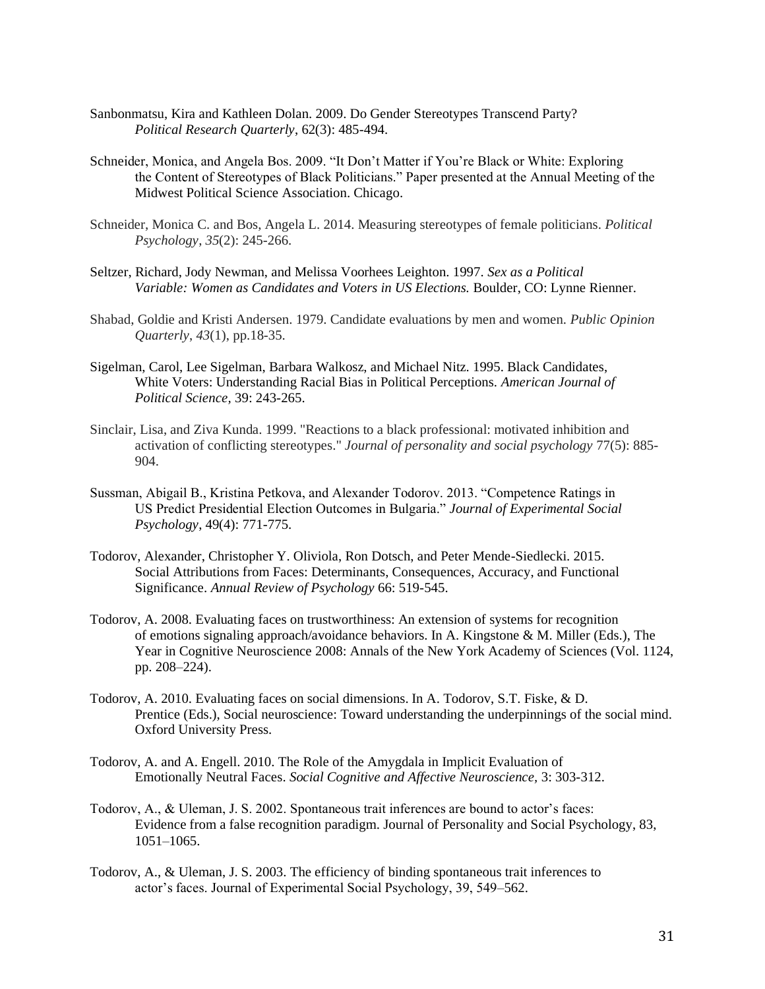- Sanbonmatsu, Kira and Kathleen Dolan. 2009. Do Gender Stereotypes Transcend Party? *Political Research Quarterly*, 62(3): 485-494.
- Schneider, Monica, and Angela Bos. 2009. "It Don't Matter if You're Black or White: Exploring the Content of Stereotypes of Black Politicians." Paper presented at the Annual Meeting of the Midwest Political Science Association. Chicago.
- Schneider, Monica C. and Bos, Angela L. 2014. Measuring stereotypes of female politicians. *Political Psychology*, *35*(2): 245-266.
- Seltzer, Richard, Jody Newman, and Melissa Voorhees Leighton. 1997. *Sex as a Political Variable: Women as Candidates and Voters in US Elections.* Boulder, CO: Lynne Rienner.
- Shabad, Goldie and Kristi Andersen. 1979. Candidate evaluations by men and women. *Public Opinion Quarterly*, *43*(1), pp.18-35.
- Sigelman, Carol, Lee Sigelman, Barbara Walkosz, and Michael Nitz. 1995. Black Candidates, White Voters: Understanding Racial Bias in Political Perceptions. *American Journal of Political Science,* 39: 243-265.
- Sinclair, Lisa, and Ziva Kunda. 1999. "Reactions to a black professional: motivated inhibition and activation of conflicting stereotypes." *Journal of personality and social psychology* 77(5): 885- 904.
- Sussman, Abigail B., Kristina Petkova, and Alexander Todorov. 2013. "Competence Ratings in US Predict Presidential Election Outcomes in Bulgaria." *Journal of Experimental Social Psychology*, 49(4): 771-775.
- Todorov, Alexander, Christopher Y. Oliviola, Ron Dotsch, and Peter Mende-Siedlecki. 2015. Social Attributions from Faces: Determinants, Consequences, Accuracy, and Functional Significance. *Annual Review of Psychology* 66: 519-545.
- Todorov, A. 2008. Evaluating faces on trustworthiness: An extension of systems for recognition of emotions signaling approach/avoidance behaviors. In A. Kingstone & M. Miller (Eds.), The Year in Cognitive Neuroscience 2008: Annals of the New York Academy of Sciences (Vol. 1124, pp. 208–224).
- Todorov, A. 2010. Evaluating faces on social dimensions. In A. Todorov, S.T. Fiske, & D. Prentice (Eds.), Social neuroscience: Toward understanding the underpinnings of the social mind. Oxford University Press.
- Todorov, A. and A. Engell. 2010. The Role of the Amygdala in Implicit Evaluation of Emotionally Neutral Faces. *Social Cognitive and Affective Neuroscience,* 3: 303-312.
- Todorov, A., & Uleman, J. S. 2002. Spontaneous trait inferences are bound to actor's faces: Evidence from a false recognition paradigm. Journal of Personality and Social Psychology, 83, 1051–1065.
- Todorov, A., & Uleman, J. S. 2003. The efficiency of binding spontaneous trait inferences to actor's faces. Journal of Experimental Social Psychology, 39, 549–562.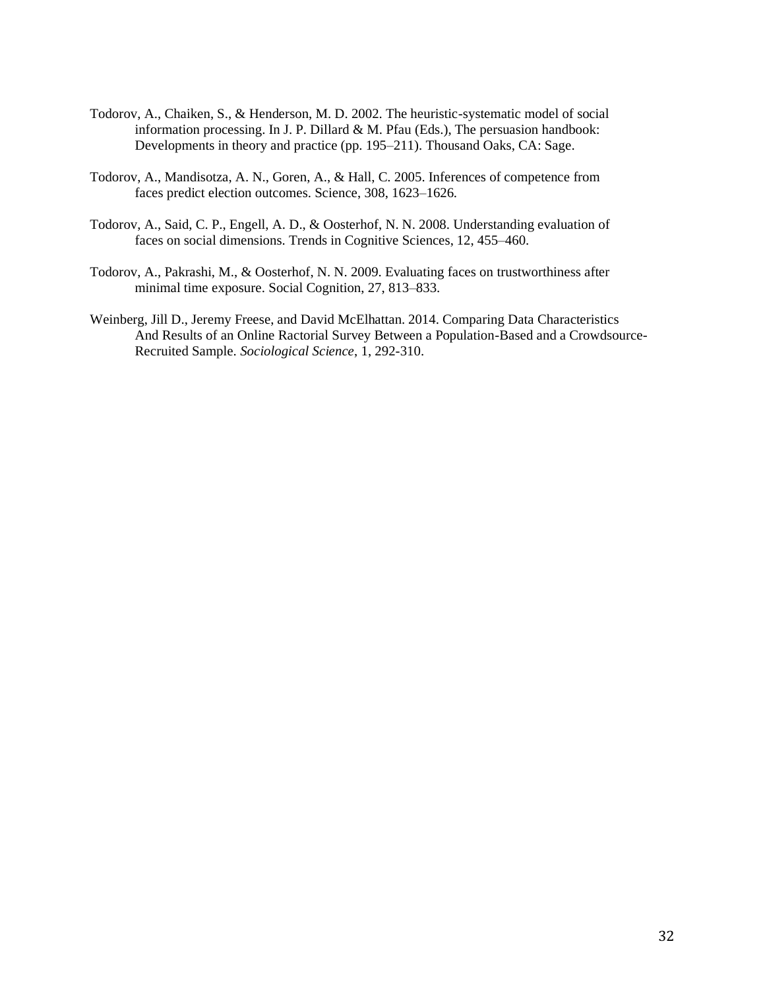- Todorov, A., Chaiken, S., & Henderson, M. D. 2002. The heuristic-systematic model of social information processing. In J. P. Dillard & M. Pfau (Eds.), The persuasion handbook: Developments in theory and practice (pp. 195–211). Thousand Oaks, CA: Sage.
- Todorov, A., Mandisotza, A. N., Goren, A., & Hall, C. 2005. Inferences of competence from faces predict election outcomes. Science, 308, 1623–1626.
- Todorov, A., Said, C. P., Engell, A. D., & Oosterhof, N. N. 2008. Understanding evaluation of faces on social dimensions. Trends in Cognitive Sciences, 12, 455–460.
- Todorov, A., Pakrashi, M., & Oosterhof, N. N. 2009. Evaluating faces on trustworthiness after minimal time exposure. Social Cognition, 27, 813–833.
- Weinberg, Jill D., Jeremy Freese, and David McElhattan. 2014. Comparing Data Characteristics And Results of an Online Ractorial Survey Between a Population-Based and a Crowdsource-Recruited Sample. *Sociological Science*, 1, 292-310.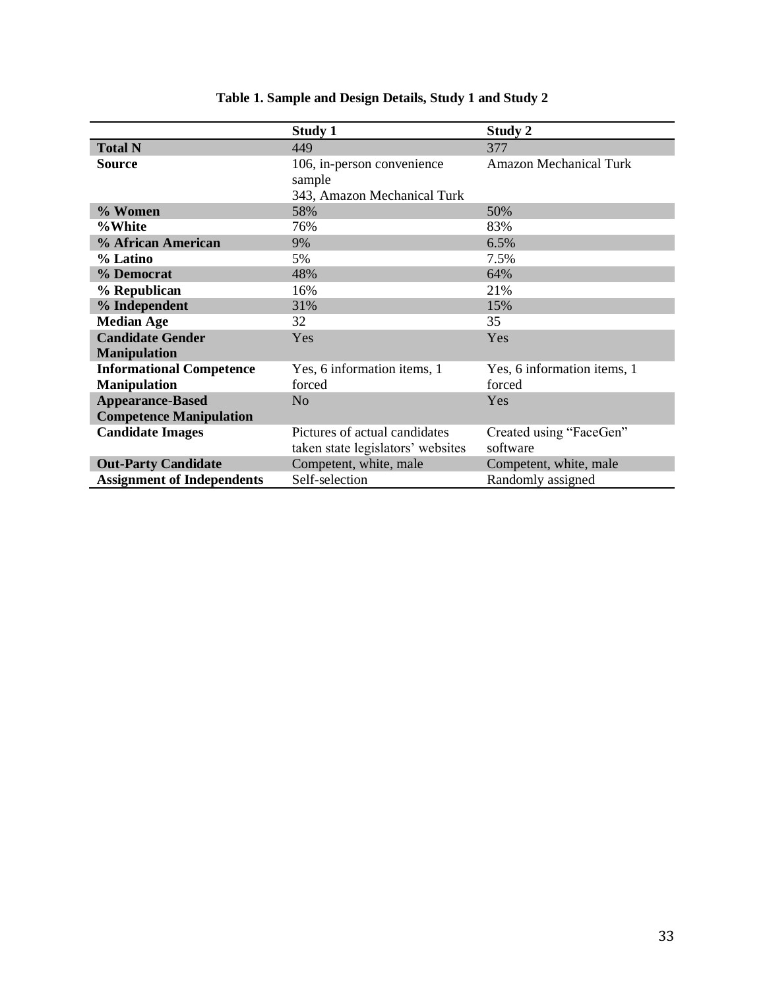|                                   | <b>Study 1</b>                    | Study 2                       |
|-----------------------------------|-----------------------------------|-------------------------------|
| <b>Total N</b>                    | 449                               | 377                           |
| <b>Source</b>                     | 106, in-person convenience        | <b>Amazon Mechanical Turk</b> |
|                                   | sample                            |                               |
|                                   | 343, Amazon Mechanical Turk       |                               |
| % Women                           | 58%                               | 50%                           |
| %White                            | 76%                               | 83%                           |
| % African American                | 9%                                | 6.5%                          |
| % Latino                          | 5%                                | 7.5%                          |
| % Democrat                        | 48%                               | 64%                           |
| % Republican                      | 16%                               | 21%                           |
| % Independent                     | 31%                               | 15%                           |
| <b>Median Age</b>                 | 32                                | 35                            |
| <b>Candidate Gender</b>           | Yes                               | Yes                           |
| <b>Manipulation</b>               |                                   |                               |
| <b>Informational Competence</b>   | Yes, 6 information items, 1       | Yes, 6 information items, 1   |
| <b>Manipulation</b>               | forced                            | forced                        |
| <b>Appearance-Based</b>           | N <sub>o</sub>                    | Yes                           |
| <b>Competence Manipulation</b>    |                                   |                               |
| <b>Candidate Images</b>           | Pictures of actual candidates     | Created using "FaceGen"       |
|                                   | taken state legislators' websites | software                      |
| <b>Out-Party Candidate</b>        | Competent, white, male            | Competent, white, male        |
| <b>Assignment of Independents</b> | Self-selection                    | Randomly assigned             |

# **Table 1. Sample and Design Details, Study 1 and Study 2**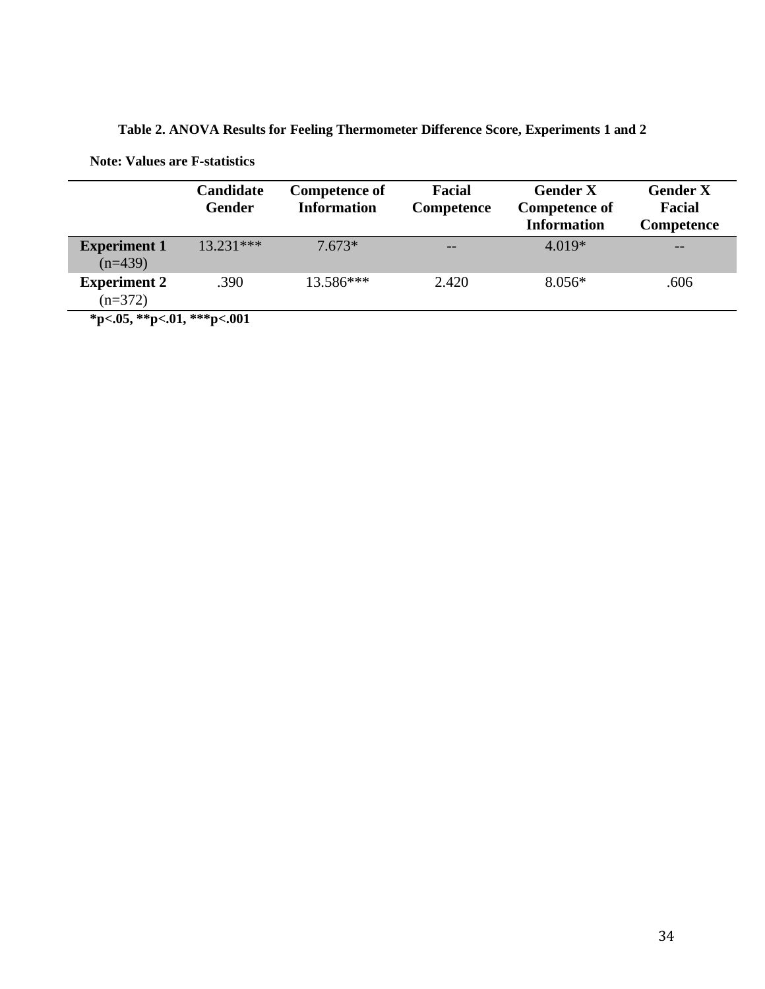**Table 2. ANOVA Results for Feeling Thermometer Difference Score, Experiments 1 and 2**

**Note: Values are F-statistics**

|                                  | Candidate<br><b>Gender</b> | <b>Competence of</b><br><b>Information</b> | Facial<br>Competence | <b>Gender X</b><br><b>Competence of</b><br><b>Information</b> | <b>Gender X</b><br>Facial<br>Competence |
|----------------------------------|----------------------------|--------------------------------------------|----------------------|---------------------------------------------------------------|-----------------------------------------|
| <b>Experiment 1</b><br>$(n=439)$ | $13.231***$                | 7.673*                                     | $-$                  | $4.019*$                                                      | $- -$                                   |
| <b>Experiment 2</b><br>$(n=372)$ | .390                       | $13.586***$                                | 2.420                | $8.056*$                                                      | .606                                    |
| *p<.05, **p<.01, ***p<.001       |                            |                                            |                      |                                                               |                                         |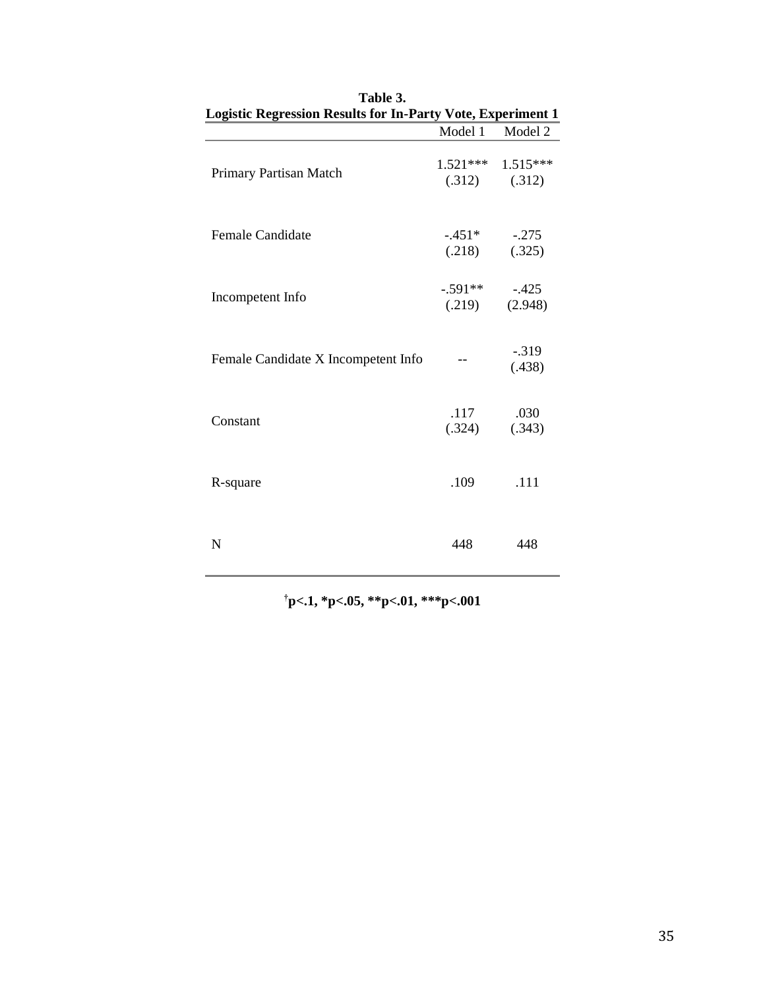| <b>Logistic Regression Results for In-Party Vote, Experiment 1</b> |                     |                                            |
|--------------------------------------------------------------------|---------------------|--------------------------------------------|
|                                                                    | Model 1             | Model 2                                    |
| Primary Partisan Match                                             |                     | $1.521***$ $1.515***$<br>$(.312)$ $(.312)$ |
| <b>Female Candidate</b>                                            | $-.451*$<br>(.218)  | $-.275$<br>(.325)                          |
| Incompetent Info                                                   | $-.591**$<br>(.219) | $-.425$<br>(2.948)                         |
| Female Candidate X Incompetent Info                                |                     | $-.319$<br>(.438)                          |
| Constant                                                           | .117<br>(.324)      | .030<br>(.343)                             |
| R-square                                                           | .109                | .111                                       |
| N                                                                  | 448                 | 448                                        |

| Table 3.<br><b>Logistic Regression Results for In-Party Vote, Experiment 1</b> |                       |
|--------------------------------------------------------------------------------|-----------------------|
|                                                                                | Model 1 Model 2       |
|                                                                                | $1521$ *** $1515$ *** |

**†p<.1, \*p<.05, \*\*p<.01, \*\*\*p<.001**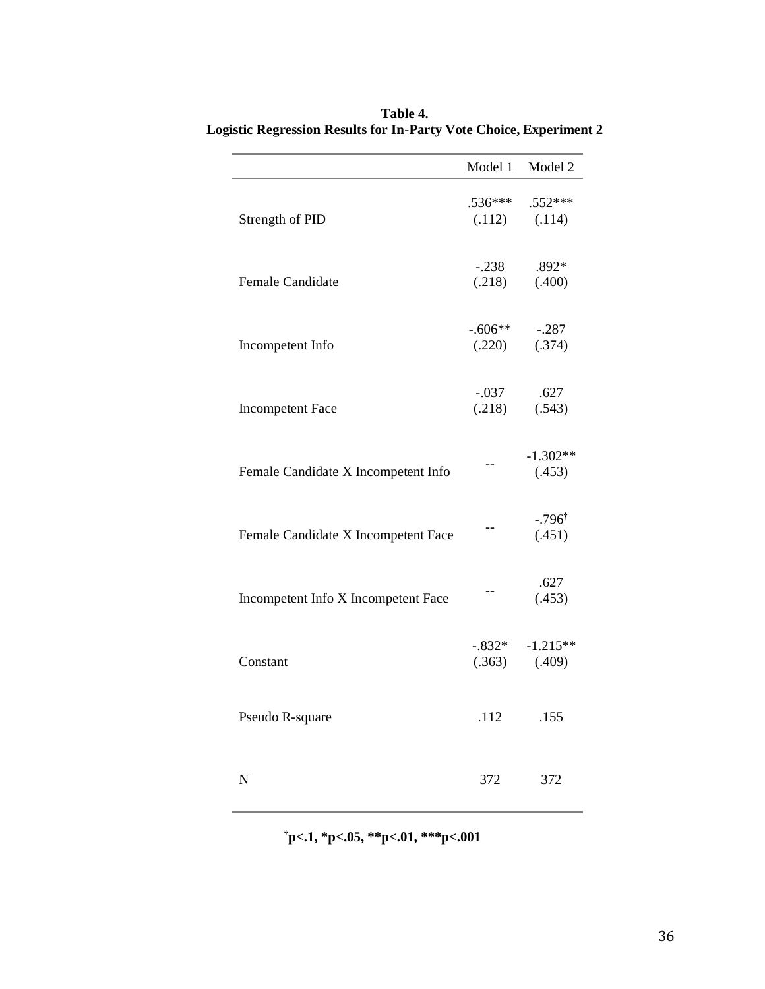|                                     | Model 1             | Model 2                        |
|-------------------------------------|---------------------|--------------------------------|
| Strength of PID                     | $.536***$<br>(.112) | .552 ***<br>(.114)             |
| Female Candidate                    | $-.238$<br>(.218)   | .892*<br>(.400)                |
| Incompetent Info                    | $-.606**$<br>(.220) | $-.287$<br>(.374)              |
| <b>Incompetent Face</b>             | $-.037$<br>(.218)   | .627<br>(.543)                 |
| Female Candidate X Incompetent Info |                     | $-1.302**$<br>(.453)           |
| Female Candidate X Incompetent Face |                     | $-.796$ <sup>†</sup><br>(.451) |
| Incompetent Info X Incompetent Face | --                  | .627<br>(.453)                 |
| Constant                            | $-.832*$<br>(.363)  | $-1.215**$<br>(.409)           |
| Pseudo R-square                     | .112                | .155                           |
| N                                   | 372                 | 372                            |

**Table 4. Logistic Regression Results for In-Party Vote Choice, Experiment 2**

**†p<.1, \*p<.05, \*\*p<.01, \*\*\*p<.001**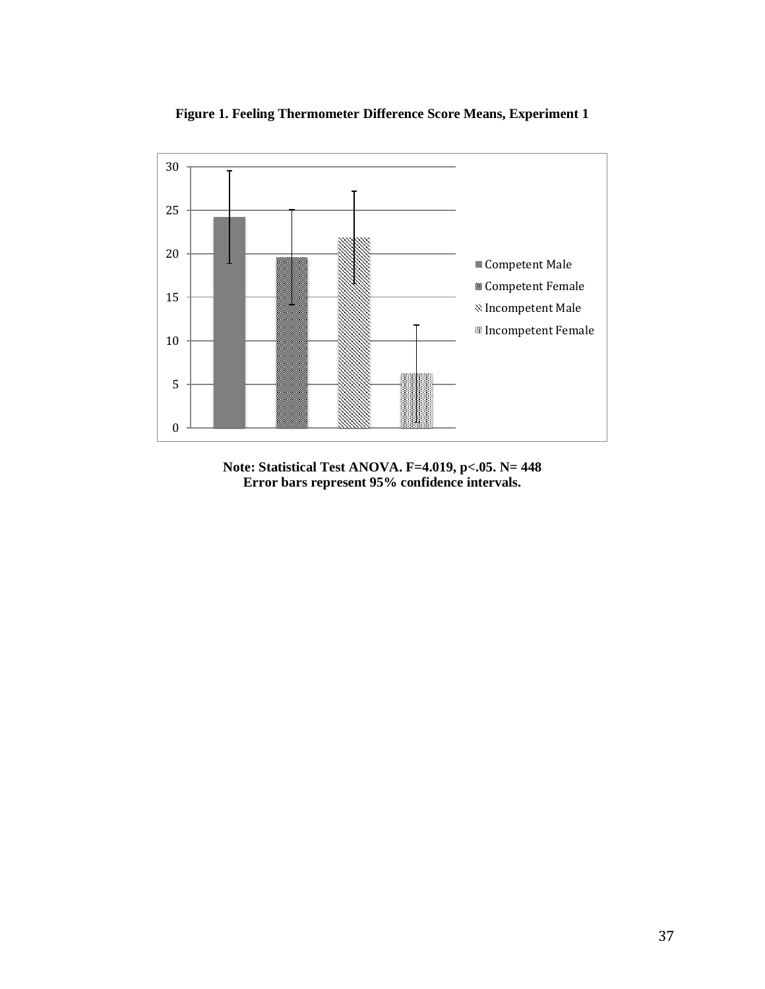

**Figure 1. Feeling Thermometer Difference Score Means, Experiment 1**

**Note: Statistical Test ANOVA. F=4.019, p<.05. N= 448 Error bars represent 95% confidence intervals.**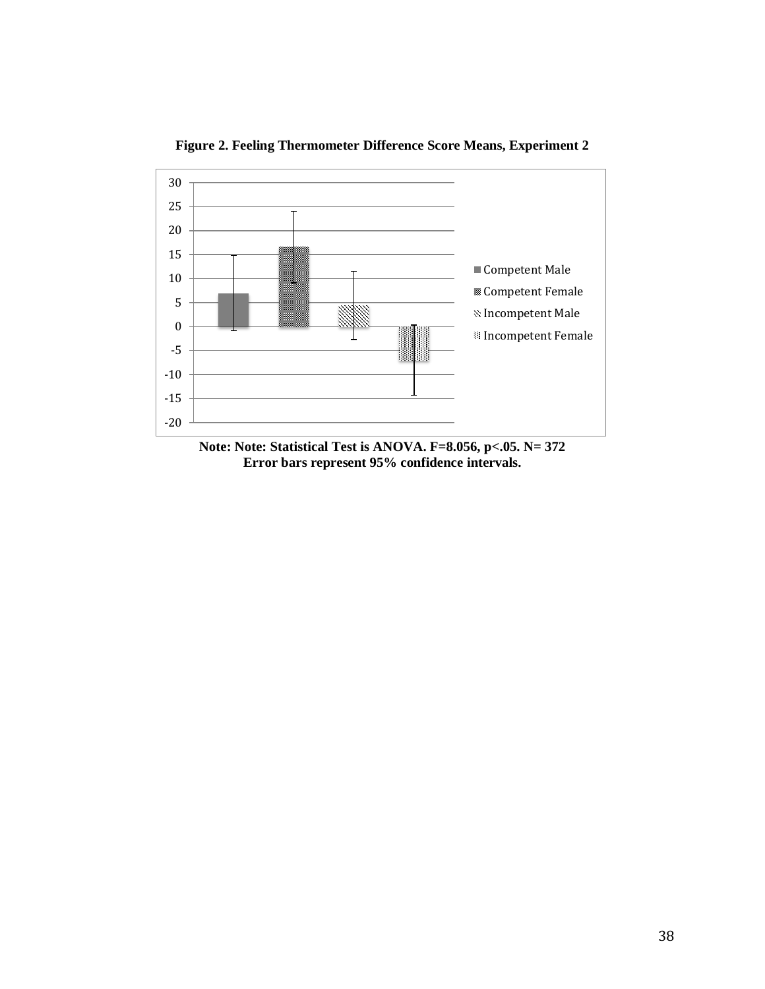

**Figure 2. Feeling Thermometer Difference Score Means, Experiment 2**

**Note: Note: Statistical Test is ANOVA. F=8.056, p<.05. N= 372 Error bars represent 95% confidence intervals.**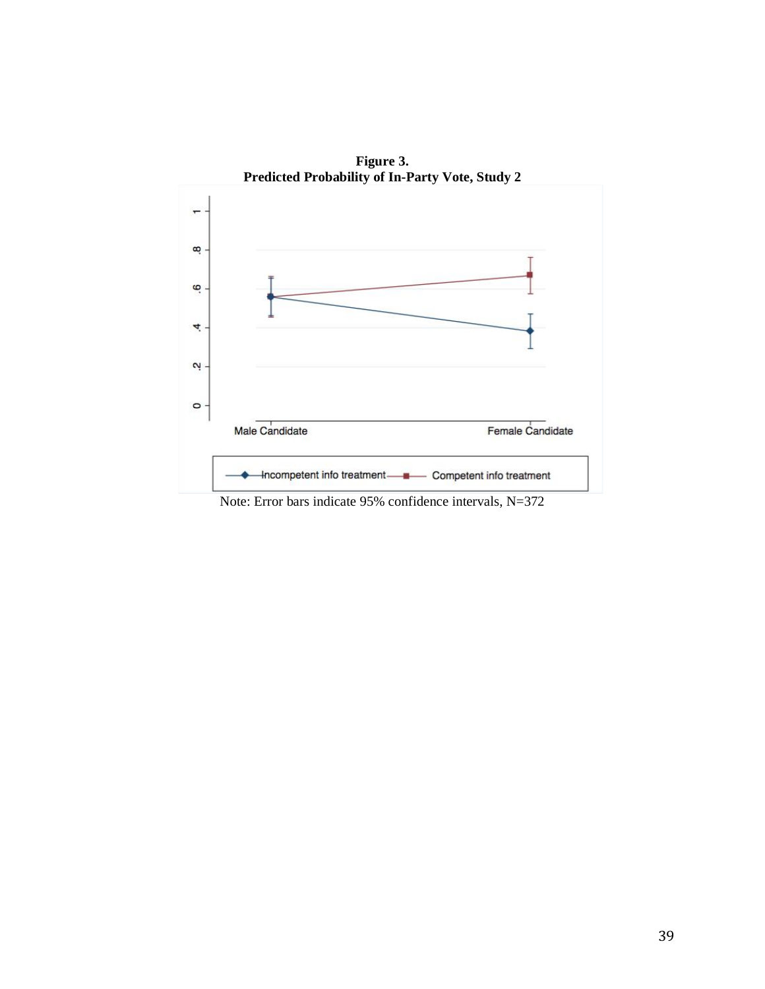

**Figure 3.**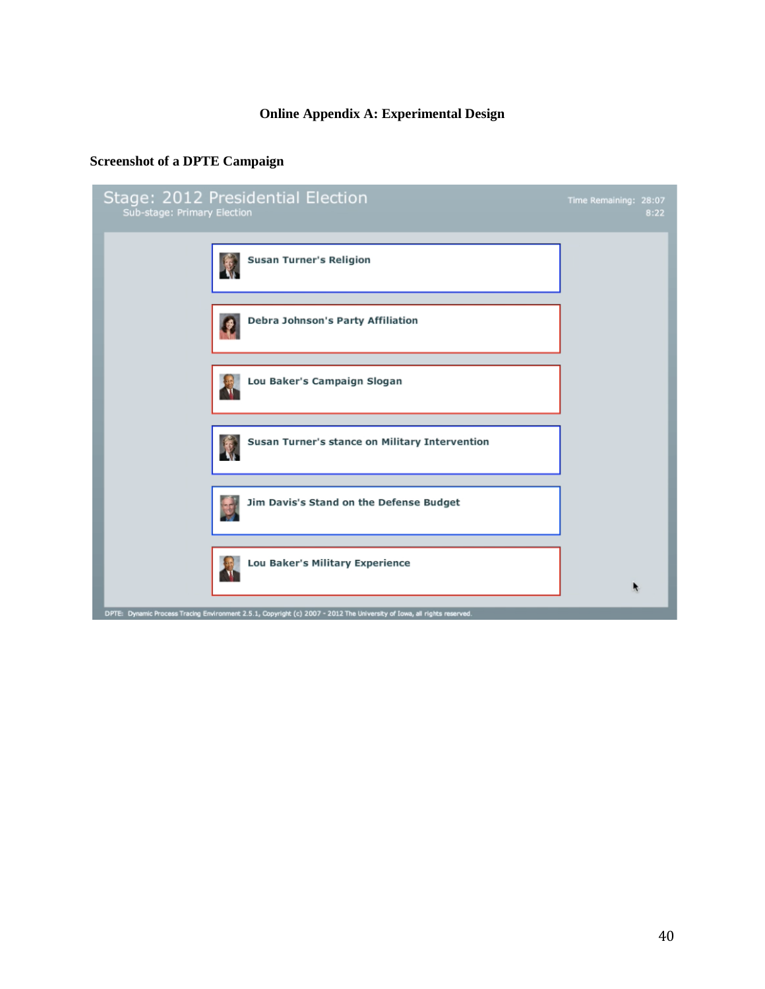## **Online Appendix A: Experimental Design**

# **Screenshot of a DPTE Campaign**

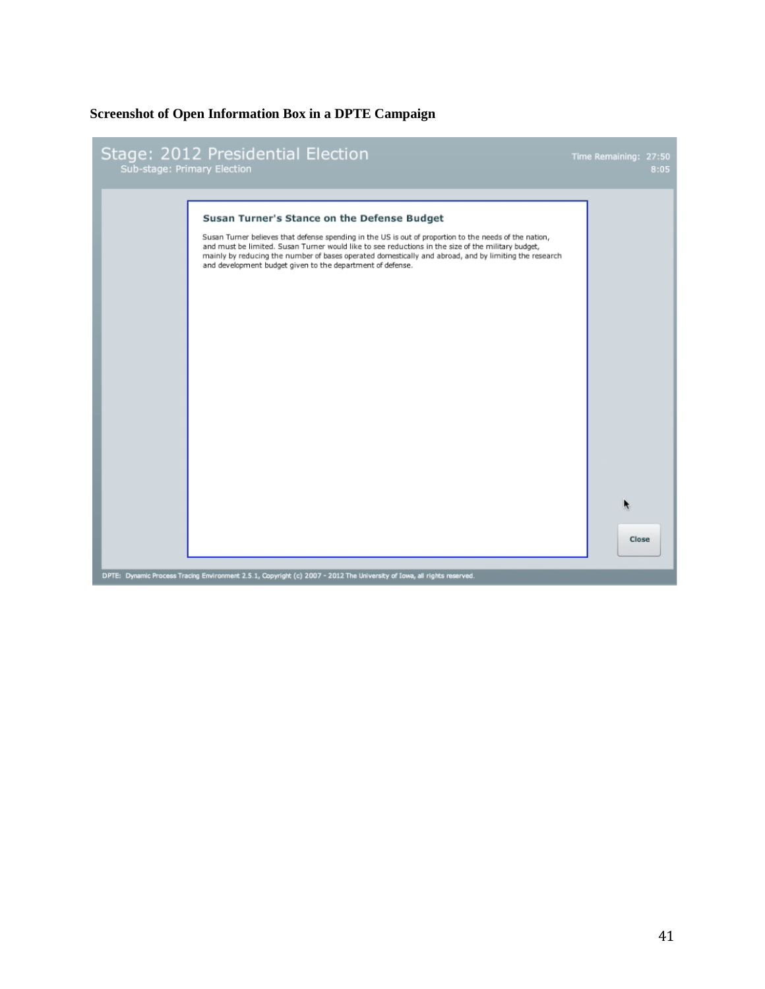### **Screenshot of Open Information Box in a DPTE Campaign**

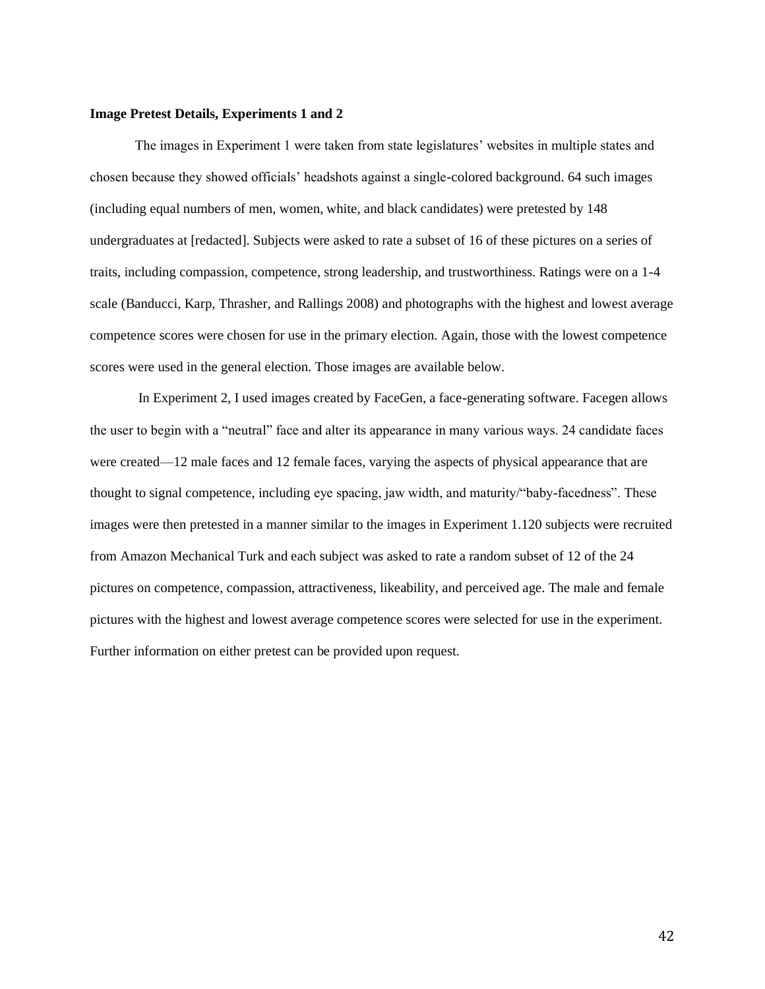#### **Image Pretest Details, Experiments 1 and 2**

The images in Experiment 1 were taken from state legislatures' websites in multiple states and chosen because they showed officials' headshots against a single-colored background. 64 such images (including equal numbers of men, women, white, and black candidates) were pretested by 148 undergraduates at [redacted]. Subjects were asked to rate a subset of 16 of these pictures on a series of traits, including compassion, competence, strong leadership, and trustworthiness. Ratings were on a 1-4 scale (Banducci, Karp, Thrasher, and Rallings 2008) and photographs with the highest and lowest average competence scores were chosen for use in the primary election. Again, those with the lowest competence scores were used in the general election. Those images are available below.

In Experiment 2, I used images created by FaceGen, a face-generating software. Facegen allows the user to begin with a "neutral" face and alter its appearance in many various ways. 24 candidate faces were created—12 male faces and 12 female faces, varying the aspects of physical appearance that are thought to signal competence, including eye spacing, jaw width, and maturity/"baby-facedness". These images were then pretested in a manner similar to the images in Experiment 1.120 subjects were recruited from Amazon Mechanical Turk and each subject was asked to rate a random subset of 12 of the 24 pictures on competence, compassion, attractiveness, likeability, and perceived age. The male and female pictures with the highest and lowest average competence scores were selected for use in the experiment. Further information on either pretest can be provided upon request.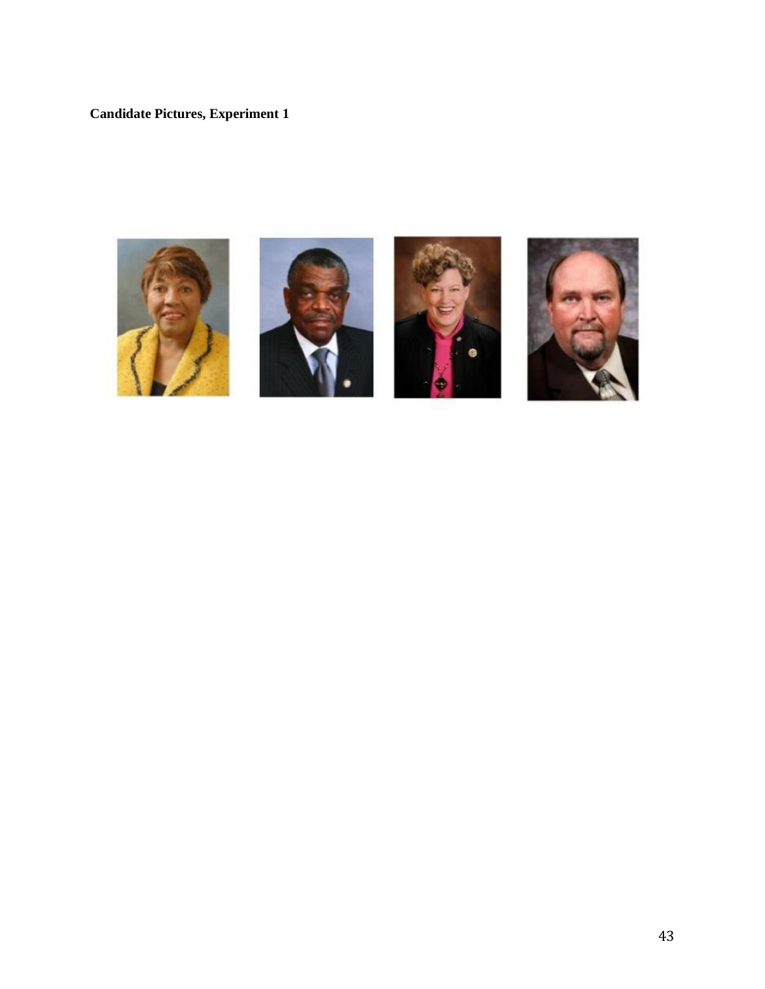# **Candidate Pictures, Experiment 1**







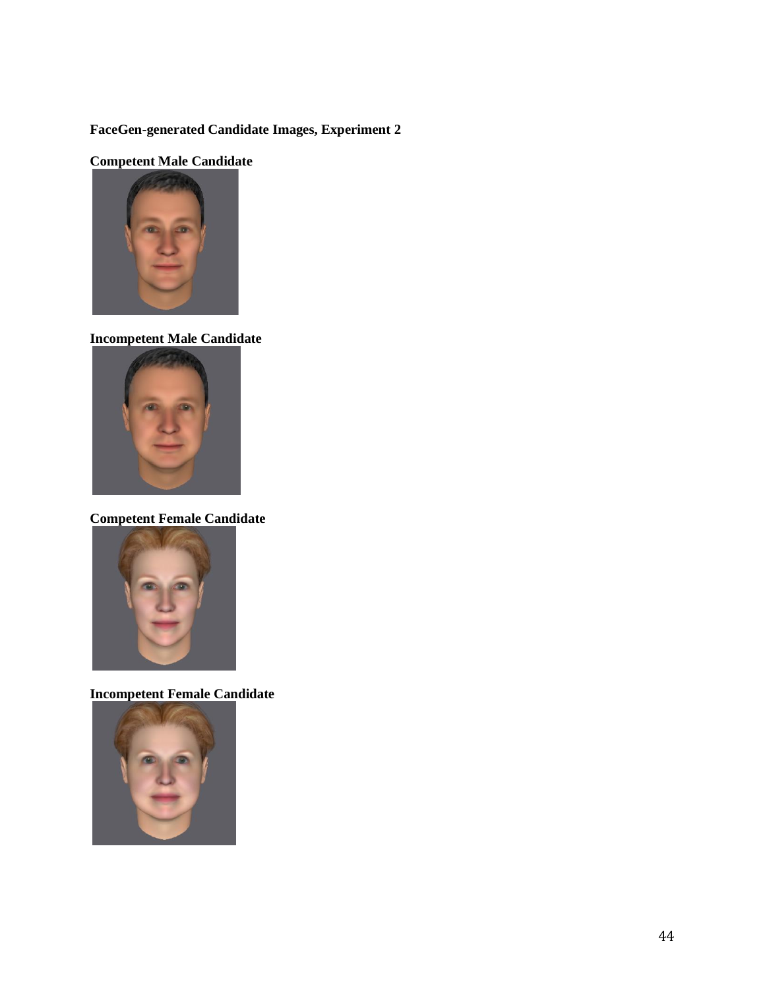# **FaceGen-generated Candidate Images, Experiment 2**

# **Competent Male Candidate**



# **Incompetent Male Candidate**



**Competent Female Candidate**



**Incompetent Female Candidate**

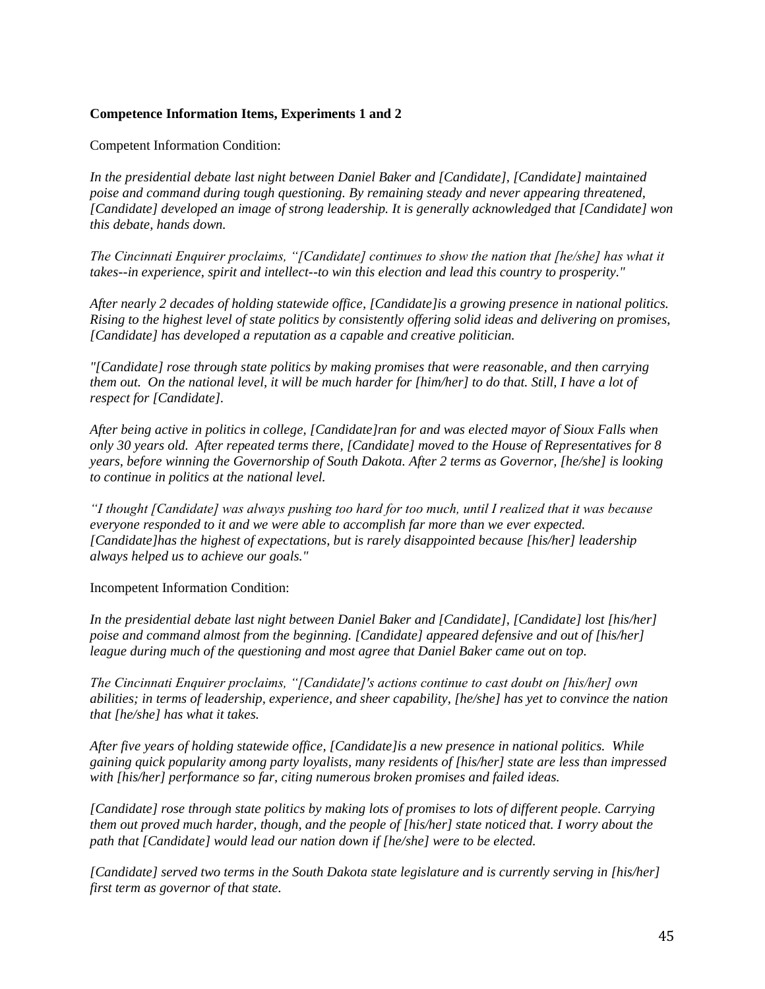## **Competence Information Items, Experiments 1 and 2**

Competent Information Condition:

*In the presidential debate last night between Daniel Baker and [Candidate], [Candidate] maintained poise and command during tough questioning. By remaining steady and never appearing threatened, [Candidate] developed an image of strong leadership. It is generally acknowledged that [Candidate] won this debate, hands down.* 

*The Cincinnati Enquirer proclaims, "[Candidate] continues to show the nation that [he/she] has what it takes--in experience, spirit and intellect--to win this election and lead this country to prosperity."* 

*After nearly 2 decades of holding statewide office, [Candidate]is a growing presence in national politics. Rising to the highest level of state politics by consistently offering solid ideas and delivering on promises, [Candidate] has developed a reputation as a capable and creative politician.*

*"[Candidate] rose through state politics by making promises that were reasonable, and then carrying them out. On the national level, it will be much harder for [him/her] to do that. Still, I have a lot of respect for [Candidate].*

*After being active in politics in college, [Candidate]ran for and was elected mayor of Sioux Falls when only 30 years old. After repeated terms there, [Candidate] moved to the House of Representatives for 8 years, before winning the Governorship of South Dakota. After 2 terms as Governor, [he/she] is looking to continue in politics at the national level.*

*"I thought [Candidate] was always pushing too hard for too much, until I realized that it was because everyone responded to it and we were able to accomplish far more than we ever expected. [Candidate]has the highest of expectations, but is rarely disappointed because [his/her] leadership always helped us to achieve our goals."* 

Incompetent Information Condition:

*In the presidential debate last night between Daniel Baker and [Candidate], [Candidate] lost [his/her] poise and command almost from the beginning. [Candidate] appeared defensive and out of [his/her] league during much of the questioning and most agree that Daniel Baker came out on top.* 

*The Cincinnati Enquirer proclaims, "[Candidate]'s actions continue to cast doubt on [his/her] own abilities; in terms of leadership, experience, and sheer capability, [he/she] has yet to convince the nation that [he/she] has what it takes.* 

*After five years of holding statewide office, [Candidate]is a new presence in national politics. While gaining quick popularity among party loyalists, many residents of [his/her] state are less than impressed with [his/her] performance so far, citing numerous broken promises and failed ideas.* 

*[Candidate] rose through state politics by making lots of promises to lots of different people. Carrying them out proved much harder, though, and the people of [his/her] state noticed that. I worry about the path that [Candidate] would lead our nation down if [he/she] were to be elected.*

*[Candidate] served two terms in the South Dakota state legislature and is currently serving in [his/her] first term as governor of that state.*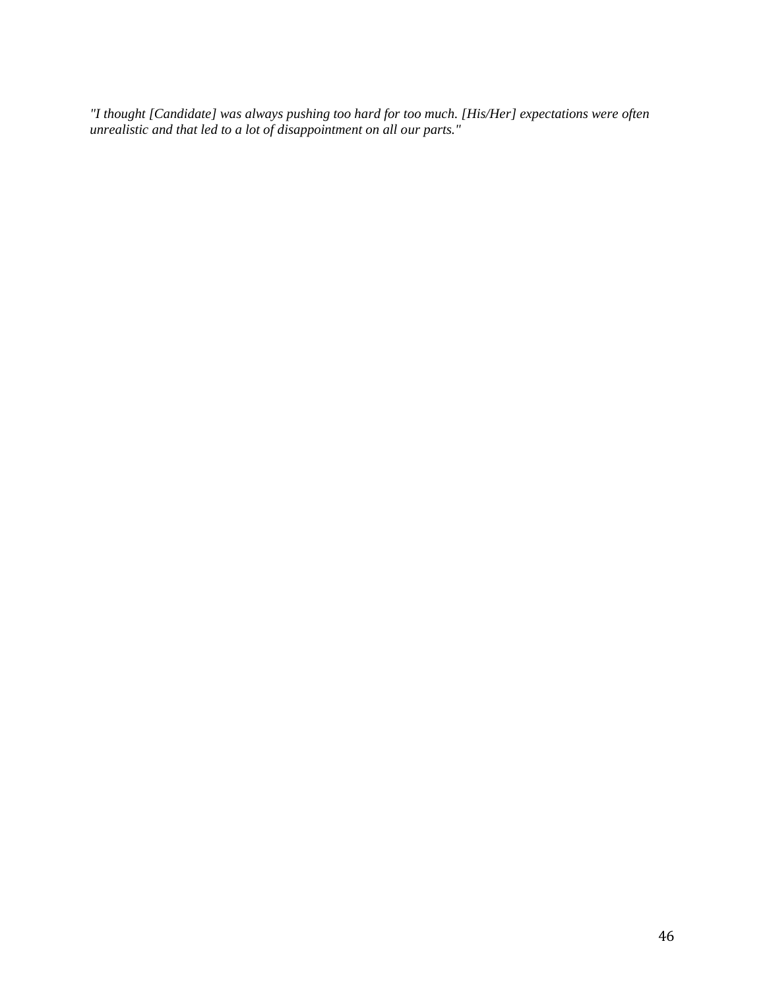*"I thought [Candidate] was always pushing too hard for too much. [His/Her] expectations were often unrealistic and that led to a lot of disappointment on all our parts."*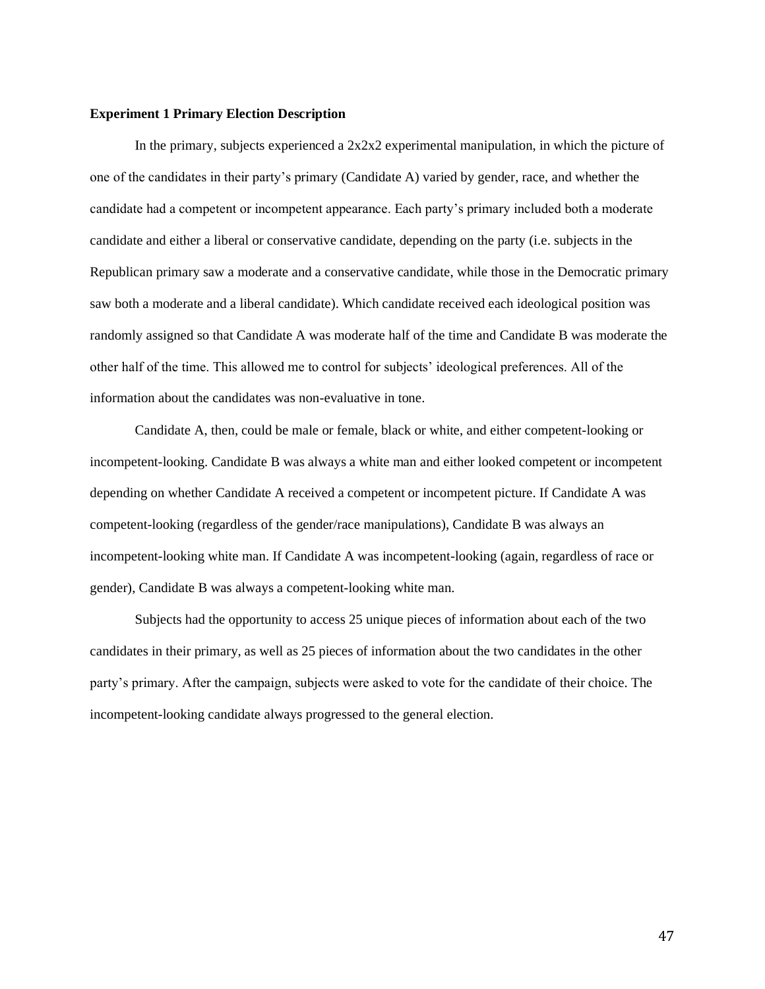#### **Experiment 1 Primary Election Description**

In the primary, subjects experienced a  $2x2x2$  experimental manipulation, in which the picture of one of the candidates in their party's primary (Candidate A) varied by gender, race, and whether the candidate had a competent or incompetent appearance. Each party's primary included both a moderate candidate and either a liberal or conservative candidate, depending on the party (i.e. subjects in the Republican primary saw a moderate and a conservative candidate, while those in the Democratic primary saw both a moderate and a liberal candidate). Which candidate received each ideological position was randomly assigned so that Candidate A was moderate half of the time and Candidate B was moderate the other half of the time. This allowed me to control for subjects' ideological preferences. All of the information about the candidates was non-evaluative in tone.

Candidate A, then, could be male or female, black or white, and either competent-looking or incompetent-looking. Candidate B was always a white man and either looked competent or incompetent depending on whether Candidate A received a competent or incompetent picture. If Candidate A was competent-looking (regardless of the gender/race manipulations), Candidate B was always an incompetent-looking white man. If Candidate A was incompetent-looking (again, regardless of race or gender), Candidate B was always a competent-looking white man.

Subjects had the opportunity to access 25 unique pieces of information about each of the two candidates in their primary, as well as 25 pieces of information about the two candidates in the other party's primary. After the campaign, subjects were asked to vote for the candidate of their choice. The incompetent-looking candidate always progressed to the general election.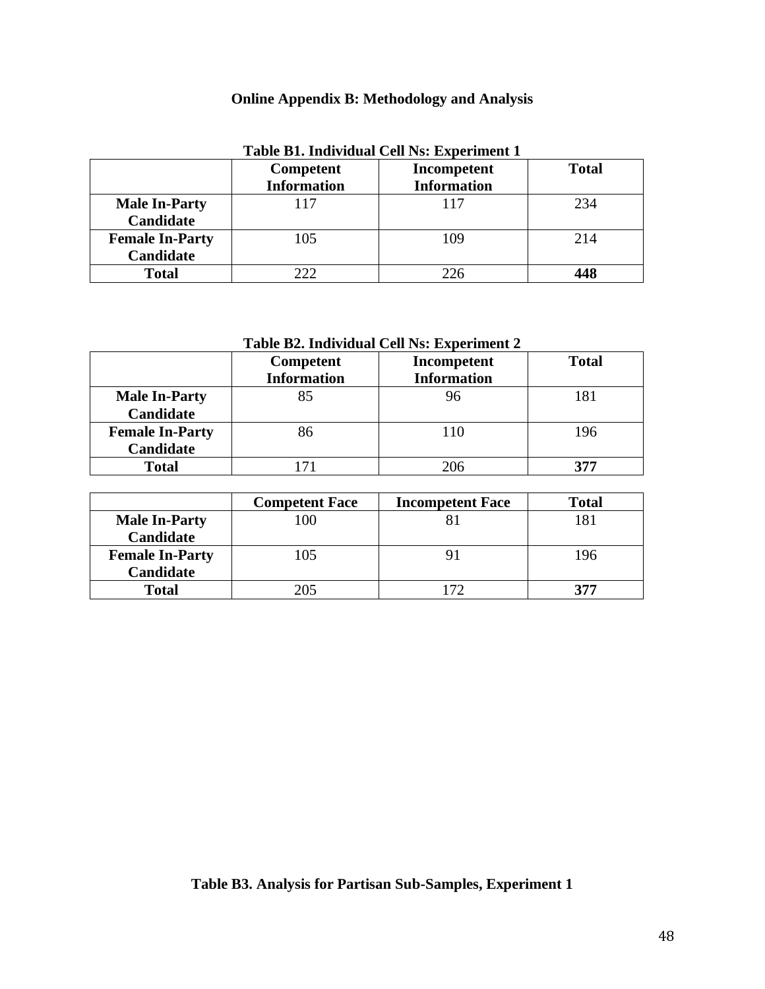# **Online Appendix B: Methodology and Analysis**

|                        | Tuble D11 martiagal Centre, Experiment I<br><b>Competent</b> | Incompetent        | <b>Total</b> |
|------------------------|--------------------------------------------------------------|--------------------|--------------|
|                        | <b>Information</b>                                           | <b>Information</b> |              |
| <b>Male In-Party</b>   | 117                                                          | 117                | 234          |
| Candidate              |                                                              |                    |              |
| <b>Female In-Party</b> | 105                                                          | 109                | 214          |
| Candidate              |                                                              |                    |              |
| <b>Total</b>           |                                                              |                    | 448          |

# **Table B1. Individual Cell Ns: Experiment 1**

# **Table B2. Individual Cell Ns: Experiment 2**

|                        | Competent          | Incompetent        | <b>Total</b> |
|------------------------|--------------------|--------------------|--------------|
|                        | <b>Information</b> | <b>Information</b> |              |
| <b>Male In-Party</b>   | 85                 | 96                 | 181          |
| Candidate              |                    |                    |              |
| <b>Female In-Party</b> | 86                 | 110                | 196          |
| <b>Candidate</b>       |                    |                    |              |
| <b>Total</b>           |                    |                    |              |

|                        | <b>Competent Face</b> | <b>Incompetent Face</b> | <b>Total</b> |
|------------------------|-----------------------|-------------------------|--------------|
| <b>Male In-Party</b>   |                       |                         | 181          |
| Candidate              |                       |                         |              |
| <b>Female In-Party</b> | 105                   |                         | 196          |
| Candidate              |                       |                         |              |
| <b>Total</b>           | 205                   |                         | 377          |

# **Table B3. Analysis for Partisan Sub-Samples, Experiment 1**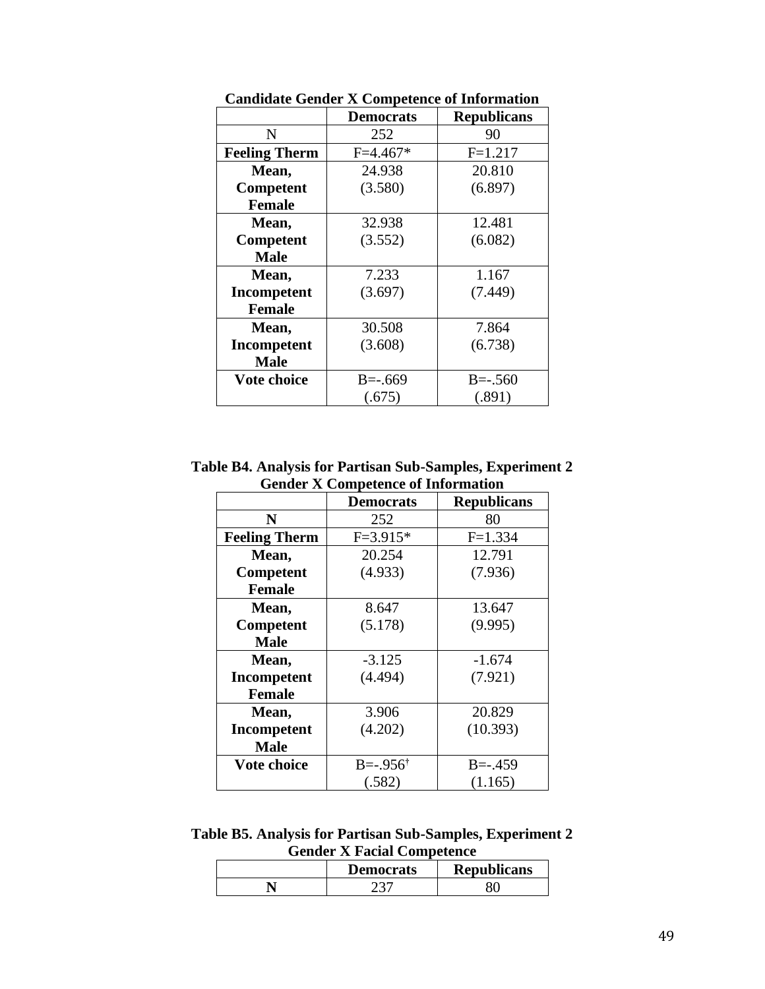|                      | <b>Democrats</b> | <b>Republicans</b> |
|----------------------|------------------|--------------------|
| N                    | 252              | 90                 |
| <b>Feeling Therm</b> | $F=4.467*$       | $F=1.217$          |
| Mean,                | 24.938           | 20.810             |
| Competent            | (3.580)          | (6.897)            |
| <b>Female</b>        |                  |                    |
| Mean,                | 32.938           | 12.481             |
| Competent            | (3.552)          | (6.082)            |
| <b>Male</b>          |                  |                    |
| Mean,                | 7.233            | 1.167              |
| Incompetent          | (3.697)          | (7.449)            |
| <b>Female</b>        |                  |                    |
| Mean,                | 30.508           | 7.864              |
| Incompetent          | (3.608)          | (6.738)            |
| <b>Male</b>          |                  |                    |
| <b>Vote choice</b>   | $B = -0.669$     | $B = -0.560$       |
|                      | (.675)           | (.891)             |

**Candidate Gender X Competence of Information**

**Table B4. Analysis for Partisan Sub-Samples, Experiment 2 Gender X Competence of Information**

|                      | <b>Democrats</b>          | <b>Republicans</b> |
|----------------------|---------------------------|--------------------|
| N                    | 252                       | 80                 |
| <b>Feeling Therm</b> | $F = 3.915*$              | $F=1.334$          |
| Mean,                | 20.254                    | 12.791             |
| Competent            | (4.933)                   | (7.936)            |
| <b>Female</b>        |                           |                    |
| Mean,                | 8.647                     | 13.647             |
| Competent            | (5.178)                   | (9.995)            |
| <b>Male</b>          |                           |                    |
| Mean,                | $-3.125$                  | $-1.674$           |
| Incompetent          | (4.494)                   | (7.921)            |
| <b>Female</b>        |                           |                    |
| Mean,                | 3.906                     | 20.829             |
| Incompetent          | (4.202)                   | (10.393)           |
| <b>Male</b>          |                           |                    |
| Vote choice          | $B = -0.956$ <sup>†</sup> | $B = -0.459$       |
|                      | (.582)                    | (1.165)            |

**Table B5. Analysis for Partisan Sub-Samples, Experiment 2 Gender X Facial Competence**

| <b>Democrats</b> | <b>Republicans</b> |
|------------------|--------------------|
|                  |                    |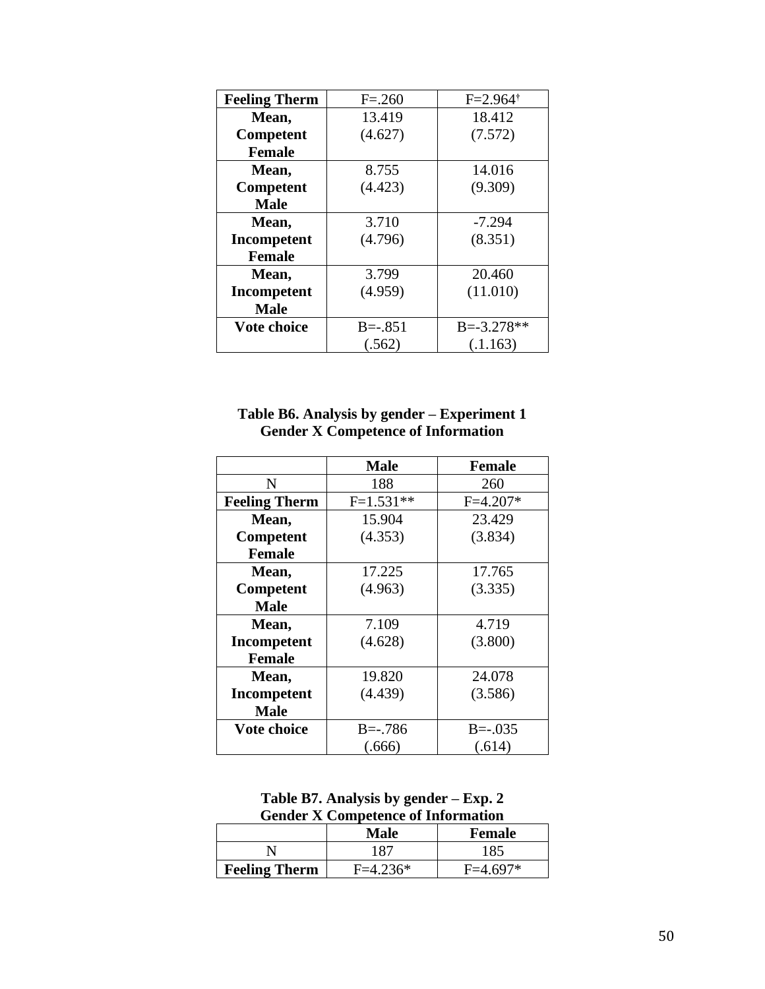| <b>Feeling Therm</b> | $F = 260$    | $F = 2.964$ <sup>†</sup> |
|----------------------|--------------|--------------------------|
| Mean,                | 13.419       | 18.412                   |
| Competent            | (4.627)      | (7.572)                  |
| <b>Female</b>        |              |                          |
| Mean,                | 8.755        | 14.016                   |
| Competent            | (4.423)      | (9.309)                  |
| <b>Male</b>          |              |                          |
| Mean,                | 3.710        | $-7.294$                 |
| Incompetent          | (4.796)      | (8.351)                  |
| <b>Female</b>        |              |                          |
| Mean,                | 3.799        | 20.460                   |
| <b>Incompetent</b>   | (4.959)      | (11.010)                 |
| <b>Male</b>          |              |                          |
| <b>Vote choice</b>   | $B = -0.851$ | $B = -3.278**$           |
|                      | (.562)       | (.1.163)                 |

## **Table B6. Analysis by gender – Experiment 1 Gender X Competence of Information**

|                      | <b>Male</b>  | <b>Female</b> |
|----------------------|--------------|---------------|
| N                    | 188          | 260           |
| <b>Feeling Therm</b> | $F=1.531**$  | $F=4.207*$    |
| Mean,                | 15.904       | 23.429        |
| Competent            | (4.353)      | (3.834)       |
| <b>Female</b>        |              |               |
| Mean,                | 17.225       | 17.765        |
| <b>Competent</b>     | (4.963)      | (3.335)       |
| Male                 |              |               |
| Mean,                | 7.109        | 4.719         |
| Incompetent          | (4.628)      | (3.800)       |
| <b>Female</b>        |              |               |
| Mean,                | 19.820       | 24.078        |
| Incompetent          | (4.439)      | (3.586)       |
| <b>Male</b>          |              |               |
| <b>Vote choice</b>   | $B = -0.786$ | $B = -0.035$  |
|                      | (.666)       | (.614)        |

**Table B7. Analysis by gender – Exp. 2 Gender X Competence of Information**

|                      | Male       | <b>Female</b> |
|----------------------|------------|---------------|
|                      | 187        | 185           |
| <b>Feeling Therm</b> | $F=4.236*$ | $F=4.697*$    |